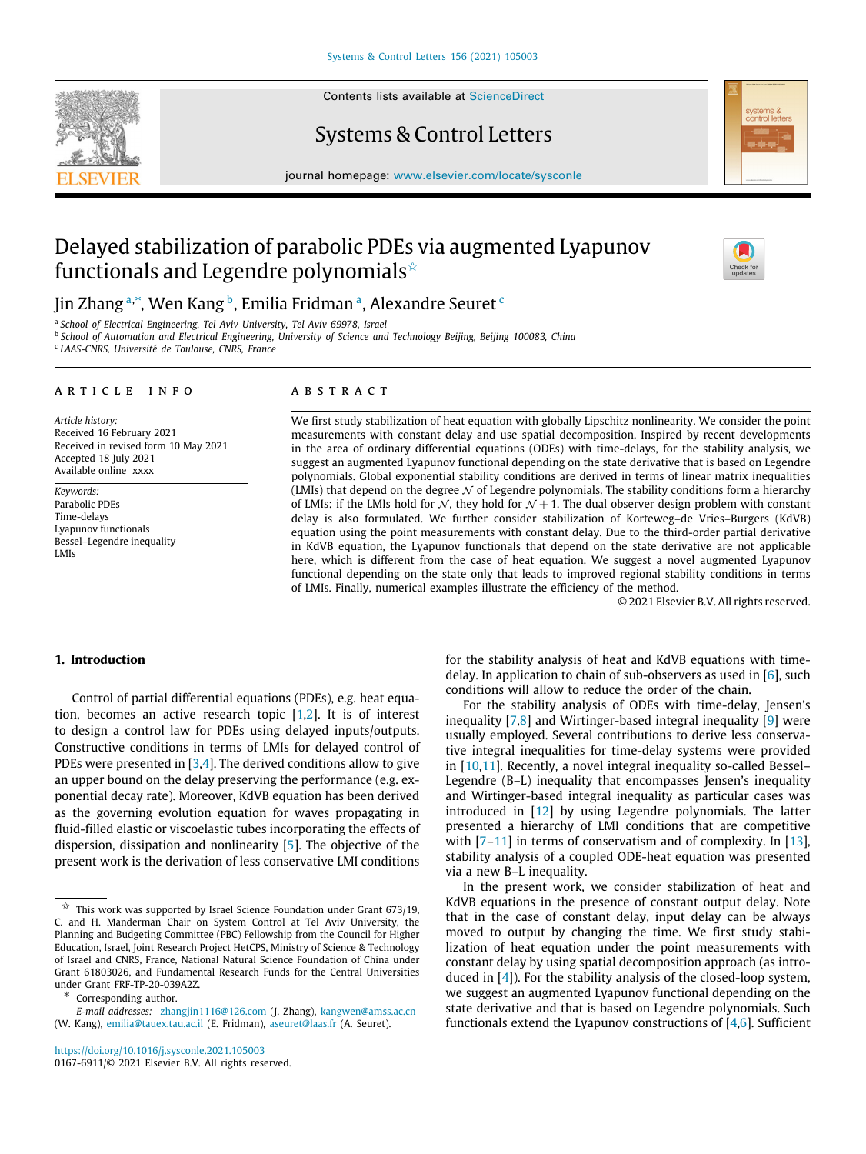

Contents lists available at [ScienceDirect](http://www.elsevier.com/locate/sysconle)

## Systems & Control Letters

journal homepage: [www.elsevier.com/locate/sysconle](http://www.elsevier.com/locate/sysconle)

# Delayed stabilization of parabolic PDEs via augmented Lyapunov functionals and Legendre polynomials $\hat{A}$



Jin Zh[a](#page-0-1)ng ª,\*, Wen Kang <sup>[b](#page-0-3)</sup>, Emilia Fridman <sup>a</sup>, Alexandre Seuret <sup>[c](#page-0-4)</sup>

<span id="page-0-1"></span>a *School of Electrical Engineering, Tel Aviv University, Tel Aviv 69978, Israel*

<span id="page-0-4"></span><span id="page-0-3"></span>b *School of Automation and Electrical Engineering, University of Science and Technology Beijing, Beijing 100083, China* c *LAAS-CNRS, Université de Toulouse, CNRS, France*

## a r t i c l e i n f o

*Article history:* Received 16 February 2021 Received in revised form 10 May 2021 Accepted 18 July 2021 Available online xxxx

*Keywords:* Parabolic PDEs Time-delays Lyapunov functionals Bessel–Legendre inequality LMIs

## A B S T R A C T

We first study stabilization of heat equation with globally Lipschitz nonlinearity. We consider the point measurements with constant delay and use spatial decomposition. Inspired by recent developments in the area of ordinary differential equations (ODEs) with time-delays, for the stability analysis, we suggest an augmented Lyapunov functional depending on the state derivative that is based on Legendre polynomials. Global exponential stability conditions are derived in terms of linear matrix inequalities (LMIs) that depend on the degree  $\mathcal N$  of Legendre polynomials. The stability conditions form a hierarchy of LMIs: if the LMIs hold for  $\mathcal{N}$ , they hold for  $\mathcal{N}$  + 1. The dual observer design problem with constant delay is also formulated. We further consider stabilization of Korteweg–de Vries–Burgers (KdVB) equation using the point measurements with constant delay. Due to the third-order partial derivative in KdVB equation, the Lyapunov functionals that depend on the state derivative are not applicable here, which is different from the case of heat equation. We suggest a novel augmented Lyapunov functional depending on the state only that leads to improved regional stability conditions in terms of LMIs. Finally, numerical examples illustrate the efficiency of the method.

© 2021 Elsevier B.V. All rights reserved.

## **1. Introduction**

Control of partial differential equations (PDEs), e.g. heat equation, becomes an active research topic  $[1,2]$  $[1,2]$ . It is of interest to design a control law for PDEs using delayed inputs/outputs. Constructive conditions in terms of LMIs for delayed control of PDEs were presented in [\[3](#page-8-2)[,4](#page-8-3)]. The derived conditions allow to give an upper bound on the delay preserving the performance (e.g. exponential decay rate). Moreover, KdVB equation has been derived as the governing evolution equation for waves propagating in fluid-filled elastic or viscoelastic tubes incorporating the effects of dispersion, dissipation and nonlinearity [[5\]](#page-8-4). The objective of the present work is the derivation of less conservative LMI conditions

<span id="page-0-2"></span>∗ Corresponding author.

for the stability analysis of heat and KdVB equations with timedelay. In application to chain of sub-observers as used in  $[6]$ , such conditions will allow to reduce the order of the chain.

For the stability analysis of ODEs with time-delay, Jensen's inequality [[7,](#page-8-6)[8\]](#page-8-7) and Wirtinger-based integral inequality [[9\]](#page-8-8) were usually employed. Several contributions to derive less conservative integral inequalities for time-delay systems were provided in [\[10,](#page-8-9)[11](#page-8-10)]. Recently, a novel integral inequality so-called Bessel– Legendre (B–L) inequality that encompasses Jensen's inequality and Wirtinger-based integral inequality as particular cases was introduced in [\[12\]](#page-8-11) by using Legendre polynomials. The latter presented a hierarchy of LMI conditions that are competitive with  $[7-11]$  $[7-11]$  $[7-11]$  in terms of conservatism and of complexity. In  $[13]$ , stability analysis of a coupled ODE-heat equation was presented via a new B–L inequality.

In the present work, we consider stabilization of heat and KdVB equations in the presence of constant output delay. Note that in the case of constant delay, input delay can be always moved to output by changing the time. We first study stabilization of heat equation under the point measurements with constant delay by using spatial decomposition approach (as introduced in [\[4](#page-8-3)]). For the stability analysis of the closed-loop system, we suggest an augmented Lyapunov functional depending on the state derivative and that is based on Legendre polynomials. Such functionals extend the Lyapunov constructions of [\[4](#page-8-3)[,6\]](#page-8-5). Sufficient

<span id="page-0-0"></span> $\overrightarrow{x}$  This work was supported by Israel Science Foundation under Grant 673/19, C. and H. Manderman Chair on System Control at Tel Aviv University, the Planning and Budgeting Committee (PBC) Fellowship from the Council for Higher Education, Israel, Joint Research Project HetCPS, Ministry of Science & Technology of Israel and CNRS, France, National Natural Science Foundation of China under Grant 61803026, and Fundamental Research Funds for the Central Universities under Grant FRF-TP-20-039A2Z.

*E-mail addresses:* [zhangjin1116@126.com](mailto:zhangjin1116@126.com) (J. Zhang), [kangwen@amss.ac.cn](mailto:kangwen@amss.ac.cn) (W. Kang), [emilia@tauex.tau.ac.il](mailto:emilia@tauex.tau.ac.il) (E. Fridman), [aseuret@laas.fr](mailto:aseuret@laas.fr) (A. Seuret).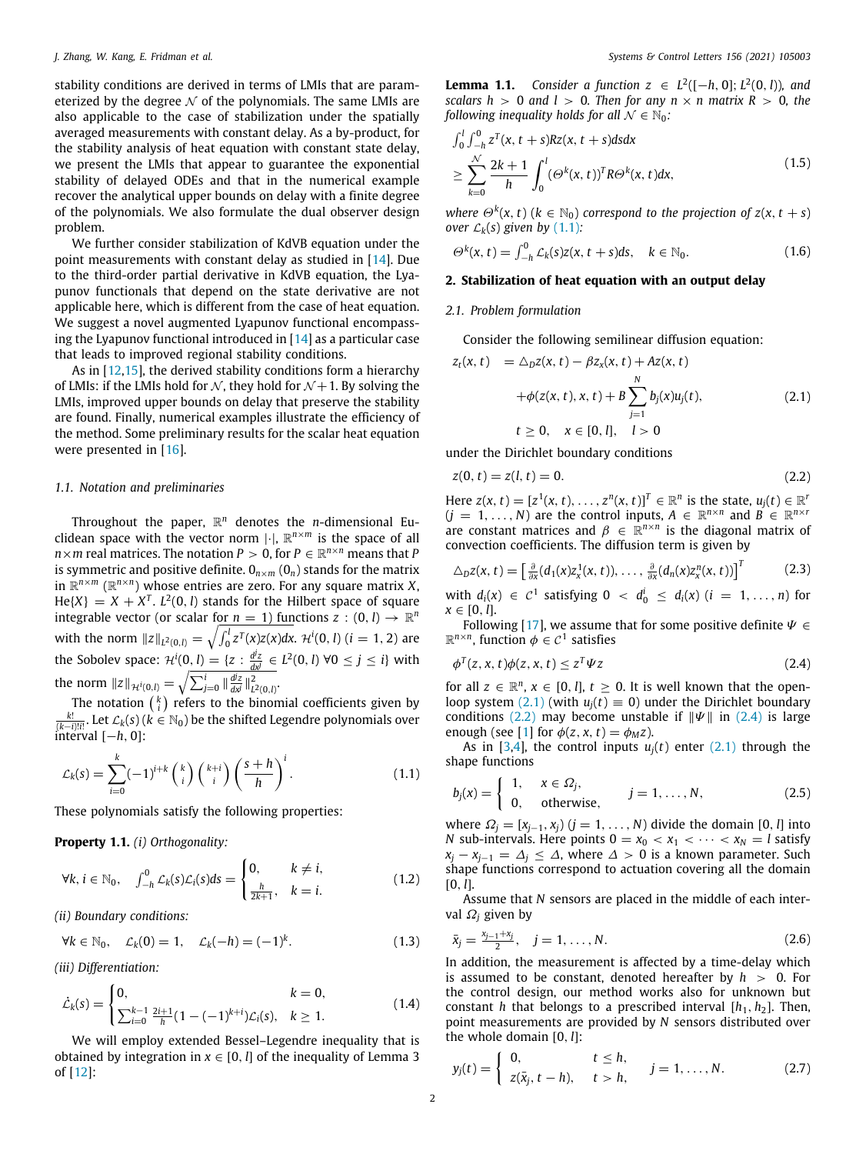stability conditions are derived in terms of LMIs that are parameterized by the degree  $\mathcal N$  of the polynomials. The same LMIs are also applicable to the case of stabilization under the spatially averaged measurements with constant delay. As a by-product, for the stability analysis of heat equation with constant state delay, we present the LMIs that appear to guarantee the exponential stability of delayed ODEs and that in the numerical example recover the analytical upper bounds on delay with a finite degree of the polynomials. We also formulate the dual observer design problem.

We further consider stabilization of KdVB equation under the point measurements with constant delay as studied in  $[14]$  $[14]$ . Due to the third-order partial derivative in KdVB equation, the Lyapunov functionals that depend on the state derivative are not applicable here, which is different from the case of heat equation. We suggest a novel augmented Lyapunov functional encompassing the Lyapunov functional introduced in [\[14\]](#page-8-13) as a particular case that leads to improved regional stability conditions.

As in [\[12,](#page-8-11)[15](#page-9-0)], the derived stability conditions form a hierarchy of LMIs: if the LMIs hold for  $\mathcal{N}$ , they hold for  $\mathcal{N}$  + 1. By solving the LMIs, improved upper bounds on delay that preserve the stability are found. Finally, numerical examples illustrate the efficiency of the method. Some preliminary results for the scalar heat equation were presented in [[16](#page-9-1)].

## *1.1. Notation and preliminaries*

Throughout the paper, R *<sup>n</sup>* denotes the *n*-dimensional Euclidean space with the vector norm |·|, R *<sup>n</sup>*×*<sup>m</sup>* is the space of all  $n \times m$  real matrices. The notation  $P \, > \, 0$ , for  $P \, \in \, \mathbb{R}^{n \times n}$  means that  $P$ is symmetric and positive definite.  $0_{n \times m}$  ( $0_n$ ) stands for the matrix in R *<sup>n</sup>*×*<sup>m</sup>* (R *n*×*n* ) whose entries are zero. For any square matrix *X*,  $He{X} = X + X<sup>T</sup>$ .  $L<sup>2</sup>(0, l)$  stands for the Hilbert space of square integrable vector (or scalar for  $n = 1$ ) functions  $z : (0, l) \rightarrow \mathbb{R}^n$ with the norm  $\|z\|_{L^2(0,l)} = \sqrt{\int_0^l z^T(x)z(x)dx}$ . H<sup>i</sup> $(0,l)$   $(i = 1,2)$  are the Sobolev space:  $\mathcal{H}^i(0, l) = \{z : \frac{d^j z}{d x^j} \in L^2(0, l) \; \forall 0 \le j \le i\}$  with the norm  $||z||_{\mathcal{H}^{i}(0,l)} = \sqrt{\sum_{j=0}^{i} ||\frac{d^{j}z}{dx^{j}}||_{L^{2}(0,l)}^{2}}$ 

The notation  $\binom{k}{i}$  refers to the binomial coefficients given by  $\frac{k!}{(k-i)!i!}$ . Let  $\mathcal{L}_k(s)$  ( $k \in \mathbb{N}_0$ ) be the shifted Legendre polynomials over interval [−*h*, 0]:

$$
\mathcal{L}_k(s) = \sum_{i=0}^k (-1)^{i+k} \binom{k}{i} \binom{k+i}{i} \left(\frac{s+h}{h}\right)^i.
$$
 (1.1)

These polynomials satisfy the following properties:

**Property 1.1.** *(i) Orthogonality:*

$$
\forall k, i \in \mathbb{N}_0, \quad \int_{-h}^0 \mathcal{L}_k(s) \mathcal{L}_i(s) ds = \begin{cases} 0, & k \neq i, \\ \frac{h}{2k+1}, & k = i. \end{cases}
$$
(1.2)

*(ii) Boundary conditions:*

 $∀k ∈ ℕ_0, \quad L_k(0) = 1, \quad L_k(-h) = (-1)^k.$  $(1.3)$ 

*(iii) Differentiation:*

$$
\dot{\mathcal{L}}_k(s) = \begin{cases} 0, & k = 0, \\ \sum_{i=0}^{k-1} \frac{2i+1}{h} (1 - (-1)^{k+i}) \mathcal{L}_i(s), & k \ge 1. \end{cases}
$$
(1.4)

<span id="page-1-6"></span>We will employ extended Bessel–Legendre inequality that is obtained by integration in  $x \in [0, l]$  of the inequality of Lemma 3 of [[12](#page-8-11)]:

**Lemma 1.1.** Consider a function  $z \text{ ∈ } L^2([-h, 0]; L^2(0, l))$ , and *scalars h* > 0 *and l* > 0*. Then for any n*  $\times$  *n matrix R* > 0*, the following inequality holds for all*  $N \in \mathbb{N}_0$ *:* 

<span id="page-1-10"></span>
$$
\int_0^l \int_{-h}^0 z^T(x, t+s) Rz(x, t+s) ds dx
$$
\n
$$
\geq \sum_{k=0}^N \frac{2k+1}{h} \int_0^l (\Theta^k(x, t))^T R \Theta^k(x, t) dx,
$$
\n(1.5)

*where*  $\Theta^k$ (*x*, *t*) ( $k \in \mathbb{N}_0$ ) *correspond to the projection of z*(*x*, *t* + *s*) *over*  $\mathcal{L}_k(s)$  *given by* [\(1.1\)](#page-1-0)*:* 

<span id="page-1-5"></span>
$$
\Theta^k(x,t) = \int_{-h}^0 \mathcal{L}_k(s) z(x,t+s) ds, \quad k \in \mathbb{N}_0.
$$
 (1.6)

## **2. Stabilization of heat equation with an output delay**

## *2.1. Problem formulation*

<span id="page-1-1"></span>Consider the following semilinear diffusion equation:

$$
z_{t}(x, t) = \Delta_{D} z(x, t) - \beta z_{x}(x, t) + Az(x, t)
$$
  
+  $\phi(z(x, t), x, t) + B \sum_{j=1}^{N} b_{j}(x)u_{j}(t),$   
 $t \ge 0, \quad x \in [0, l], \quad l > 0$  (2.1)

under the Dirichlet boundary conditions

<span id="page-1-2"></span>
$$
z(0, t) = z(l, t) = 0.
$$
 (2.2)

Here  $z(x, t) = [z^1(x, t), \ldots, z^n(x, t)]^T \in \mathbb{R}^n$  is the state,  $u_j(t) \in \mathbb{R}^n$  $(j = 1, ..., N)$  are the control inputs,  $A \in \mathbb{R}^{n \times n}$  and  $B \in \mathbb{R}^{n \times n}$ are constant matrices and  $\beta \in \mathbb{R}^{n \times n}$  is the diagonal matrix of convection coefficients. The diffusion term is given by

<span id="page-1-9"></span>
$$
\Delta_D z(x,t) = \left[\frac{\partial}{\partial x}(d_1(x)z_x^1(x,t)),\ldots,\frac{\partial}{\partial x}(d_n(x)z_x^n(x,t))\right]^T
$$
 (2.3)

with  $d_i(x) \in C^1$  satisfying  $0 \lt d_0^i \leq d_i(x)$   $(i = 1, \ldots, n)$  for  $x \in [0, l]$ .

Following [[17](#page-9-2)], we assume that for some positive definite  $\Psi \in$  $\mathbb{R}^{n \times n}$ , function  $\phi \in \mathcal{C}^1$  satisfies

<span id="page-1-3"></span>
$$
\phi^T(z, x, t)\phi(z, x, t) \le z^T \Psi z \tag{2.4}
$$

for all  $z \in \mathbb{R}^n$ ,  $x \in [0, l]$ ,  $t \ge 0$ . It is well known that the openloop system  $(2.1)$  $(2.1)$  $(2.1)$  (with  $u_i(t) \equiv 0$ ) under the Dirichlet boundary conditions ([2.2](#page-1-2)) may become unstable if  $\|\Psi\|$  in ([2.4](#page-1-3)) is large enough (see [\[1\]](#page-8-0) for  $\phi(z, x, t) = \phi_M z$ ).

<span id="page-1-0"></span>As in [\[3](#page-8-2)[,4\]](#page-8-3), the control inputs  $u_i(t)$  enter (2,1) through the shape functions

<span id="page-1-11"></span>
$$
b_j(x) = \begin{cases} 1, & x \in \Omega_j, \\ 0, & \text{otherwise,} \end{cases} \qquad j = 1, \dots, N,
$$
 (2.5)

where  $Ω<sub>j</sub> = [x<sub>j-1</sub>, x<sub>j</sub>)$  (*j* = 1, . . . , *N*) divide the domain [0, *l*] into *N* sub-intervals. Here points  $0 = x_0 < x_1 < \cdots < x_N = l$  satisfy  $x_j - x_{j-1} = \Delta_j \leq \Delta$ , where  $\Delta > 0$  is a known parameter. Such shape functions correspond to actuation covering all the domain  $[0, l].$ 

<span id="page-1-12"></span>Assume that *N* sensors are placed in the middle of each interval  $\Omega_i$  given by

<span id="page-1-7"></span>
$$
\bar{x}_j = \frac{x_{j-1} + x_j}{2}, \quad j = 1, \dots, N. \tag{2.6}
$$

<span id="page-1-8"></span>In addition, the measurement is affected by a time-delay which is assumed to be constant, denoted hereafter by  $h > 0$ . For the control design, our method works also for unknown but constant *h* that belongs to a prescribed interval  $[h_1, h_2]$ . Then, point measurements are provided by *N* sensors distributed over the whole domain [0, *l*]:

<span id="page-1-4"></span>
$$
y_j(t) = \begin{cases} 0, & t \leq h, \\ z(\bar{x}_j, t - h), & t > h, \end{cases} \quad j = 1, ..., N. \quad (2.7)
$$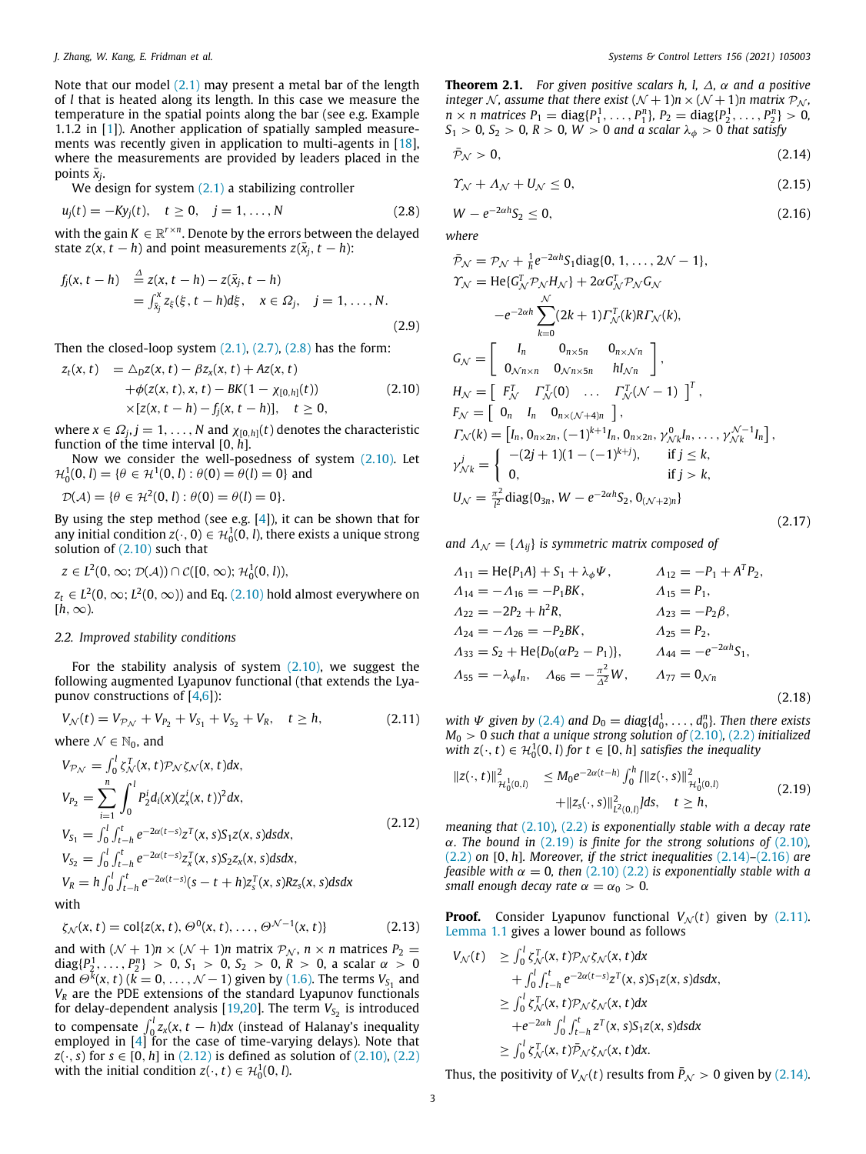Note that our model ([2.1\)](#page-1-1) may present a metal bar of the length of *l* that is heated along its length. In this case we measure the temperature in the spatial points along the bar (see e.g. Example 1.1.2 in [\[1](#page-8-0)]). Another application of spatially sampled measure-ments was recently given in application to multi-agents in [\[18\]](#page-9-3), where the measurements are provided by leaders placed in the points  $\bar{x}_j$ .

We design for system  $(2.1)$  $(2.1)$  $(2.1)$  a stabilizing controller

$$
u_j(t) = -Ky_j(t), \quad t \ge 0, \quad j = 1, ..., N
$$
 (2.8)

with the gain  $K \in \mathbb{R}^{r \times n}$ . Denote by the errors between the delayed state *z*(*x*, *t* − *h*) and point measurements *z*( $\bar{x}_j$ , *t* − *h*):

$$
f_j(x, t - h) \stackrel{\Delta}{=} z(x, t - h) - z(\bar{x}_j, t - h)
$$
  
= 
$$
\int_{\bar{x}_j}^x z_{\xi}(\xi, t - h) d\xi, \quad x \in \Omega_j, \quad j = 1, ..., N.
$$
 (2.9)

Then the closed-loop system ([2.1](#page-1-1)), [\(2.7\)](#page-1-4), [\(2.8\)](#page-2-0) has the form:<br> $z_t(x, t) = \sqrt{2\pi} \frac{f(x, t) - Bz(x, t) + Az(x, t)}{2\pi}$ 

$$
z_t(x, t) = \Delta_D z(x, t) - \beta z_x(x, t) + Az(x, t) + \phi(z(x, t), x, t) - BK(1 - \chi_{[0, h]}(t)) \times [z(x, t - h) - f_j(x, t - h)], \quad t \ge 0,
$$
\n(2.10)

where  $x \in \Omega_j$ ,  $j = 1, \ldots, N$  and  $\chi_{[0,h]}(t)$  denotes the characteristic function of the time interval [0, *h*].

Now we consider the well-posedness of system  $(2.10)$ . Let  $\mathcal{H}_0^1(0, l) = \{ \theta \in \mathcal{H}^1(0, l) : \theta(0) = \theta(l) = 0 \}$  and

 $\mathcal{D}(\mathcal{A}) = \{ \theta \in \mathcal{H}^2(0, l) : \theta(0) = \theta(l) = 0 \}.$ 

By using the step method (see e.g.  $[4]$ ), it can be shown that for any initial condition  $z(\cdot, 0) \in \mathcal{H}_0^1(0, l)$ , there exists a unique strong solution of  $(2.10)$  $(2.10)$  $(2.10)$  such that

$$
z\in L^2(0,\infty;\mathcal{D}(\mathcal{A}))\cap\mathcal{C}([0,\infty);\mathcal{H}_0^1(0,l)),
$$

 $z_t \in L^2(0,\infty; L^2(0,\infty))$  and Eq. ([2.10](#page-2-1)) hold almost everywhere on  $[h, \infty)$ .

## *2.2. Improved stability conditions*

For the stability analysis of system  $(2.10)$  $(2.10)$  $(2.10)$ , we suggest the following augmented Lyapunov functional (that extends the Lyapunov constructions of  $[4,6]$  $[4,6]$ :

$$
V_N(t) = V_{P_N} + V_{P_2} + V_{S_1} + V_{S_2} + V_R, \quad t \ge h,
$$
  
where  $N \in \mathbb{N}_0$ , and (2.11)

$$
V_{\mathcal{P}_{\mathcal{N}}} = \int_0^l \zeta_{\mathcal{N}}^T(x, t) \mathcal{P}_{\mathcal{N}} \zeta_{\mathcal{N}}(x, t) dx,
$$
  
\n
$$
V_{P_2} = \sum_{i=1}^n \int_0^l P_2^i d_i(x) (z_x^i(x, t))^2 dx,
$$
  
\n
$$
V_{S_1} = \int_0^l \int_{t-h}^t e^{-2\alpha(t-s)} z^T(x, s) S_1 z(x, s) ds dx,
$$
  
\n
$$
V_{S_2} = \int_0^l \int_{t-h}^t e^{-2\alpha(t-s)} z_x^T(x, s) S_2 z_x(x, s) ds dx,
$$
  
\n
$$
V_R = h \int_0^l \int_{t-h}^t e^{-2\alpha(t-s)} (s-t+h) z_s^T(x, s) R z_s(x, s) ds dx
$$
  
\nwith

with

$$
\zeta_{\mathcal{N}}(x,t) = \text{col}\{z(x,t), \Theta^0(x,t), \dots, \Theta^{\mathcal{N}-1}(x,t)\}\tag{2.13}
$$

<span id="page-2-12"></span>and with  $(N + 1)n \times (N + 1)n$  matrix  $P_N$ ,  $n \times n$  matrices  $P_2$  = diag $\{P_2^1, \ldots, P_2^n\} > 0$ ,  $S_1 > 0$ ,  $S_2 > 0$ ,  $R > 0$ , a scalar  $\alpha > 0$ and  $\Theta^{\bar{k}}(x, t)$  ( $\bar{k} = 0, \ldots, \mathcal{N} - 1$ ) given by ([1.6](#page-1-5)). The terms  $V_{S_1}$  and *V<sup>R</sup>* are the PDE extensions of the standard Lyapunov functionals for delay-dependent analysis [[19](#page-9-4)[,20\]](#page-9-5). The term  $V_{S_2}$  is introduced to compensate  $\int_0^l z_x(x, t-h) dx$  (instead of Halanay's inequality employed in  $[4]$  for the case of time-varying delays). Note that *z*( $\cdot$ , *s*) for *s*  $\in$  [0, *h*] in [\(2.12](#page-2-2)) is defined as solution of ([2.10](#page-2-1)), [\(2.2\)](#page-1-2) with the initial condition  $z(\cdot, t) \in \mathcal{H}_0^1(0, l)$ .

**Theorem 2.1.** *For given positive scalars h, l,* ∆*,* α *and a positive integer* N, assume that there exist  $(N + 1)n \times (N + 1)n$  matrix  $P_N$ ,  $n \times n$  matrices  $P_1 = \text{diag}\{P_1^1, \ldots, P_1^n\}$ ,  $P_2 = \text{diag}\{P_2^1, \ldots, P_2^n\} > 0$ , *S*<sub>1</sub> > 0*, S*<sub>2</sub> > 0*, R* > 0*, W* > 0 *and a scalar*  $\lambda_{\phi}$  > 0 *that satisfy* 

<span id="page-2-4"></span>
$$
\bar{\mathcal{P}}_{\mathcal{N}} > 0, \tag{2.14}
$$

<span id="page-2-10"></span>
$$
\gamma_{\mathcal{N}} + \Lambda_{\mathcal{N}} + U_{\mathcal{N}} \le 0, \tag{2.15}
$$

<span id="page-2-5"></span><span id="page-2-0"></span>
$$
W - e^{-2\alpha h} S_2 \le 0, \tag{2.16}
$$

*where*

<span id="page-2-9"></span><span id="page-2-1"></span>
$$
\bar{\mathcal{P}}_{\mathcal{N}} = \mathcal{P}_{\mathcal{N}} + \frac{1}{h} e^{-2\alpha h} S_1 \text{diag}\{0, 1, \dots, 2\mathcal{N} - 1\},
$$
\n
$$
\gamma_{\mathcal{N}} = \text{He}\{G_{\mathcal{N}}^T \mathcal{P}_{\mathcal{N}} H_{\mathcal{N}}\} + 2\alpha G_{\mathcal{N}}^T \mathcal{P}_{\mathcal{N}} G_{\mathcal{N}}
$$
\n
$$
-e^{-2\alpha h} \sum_{k=0}^{\mathcal{N}} (2k+1) \Gamma_{\mathcal{N}}^T(k) R \Gamma_{\mathcal{N}}(k),
$$
\n
$$
G_{\mathcal{N}} = \begin{bmatrix} I_n & 0_{n \times 5n} & 0_{n \times \mathcal{N}n} \\ 0_{\mathcal{N}n \times n} & 0_{\mathcal{N}n \times 5n} & h I_{\mathcal{N}n} \end{bmatrix},
$$
\n
$$
H_{\mathcal{N}} = \begin{bmatrix} F_{\mathcal{N}}^T & \Gamma_{\mathcal{N}}^T(0) & \dots & \Gamma_{\mathcal{N}}^T(\mathcal{N}-1) \end{bmatrix}^T,
$$
\n
$$
F_{\mathcal{N}} = \begin{bmatrix} 0_n & I_n & 0_{n \times (\mathcal{N}+4)n} \\ 0_n & 1_{n \times (1+\mathcal{N}+1)n} \end{bmatrix},
$$
\n
$$
\Gamma_{\mathcal{N}}(k) = \begin{bmatrix} I_n, 0_{n \times 2n}, (-1)^{k+1} I_n, 0_{n \times 2n}, \gamma_{\mathcal{N}_k}^0 I_n, \dots, \gamma_{\mathcal{N}_k}^{\mathcal{N}-1} I_n \end{bmatrix},
$$
\n
$$
\gamma_{\mathcal{N}k}^j = \begin{cases} -(2j+1)(1 - (-1)^{k+j}), & \text{if } j \leq k, \\ 0, & \text{if } j > k, \end{cases}
$$
\n
$$
U_{\mathcal{N}} = \frac{\pi^2}{l^2} \text{diag}\{0_{3n}, W - e^{-2\alpha h} S_2, 0_{(\mathcal{N}+2)n}\}
$$
\n(2.17)

*and*  $\Lambda_N = {\Lambda_{ii}}$  *is symmetric matrix composed of* 

<span id="page-2-8"></span>
$$
A_{11} = He\{P_1A\} + S_1 + \lambda_{\phi}\Psi, \qquad A_{12} = -P_1 + A^T P_2,
$$
  
\n
$$
A_{14} = -A_{16} = -P_1BK, \qquad A_{15} = P_1,
$$
  
\n
$$
A_{22} = -2P_2 + h^2 R, \qquad A_{23} = -P_2\beta,
$$
  
\n
$$
A_{24} = -A_{26} = -P_2BK, \qquad A_{25} = P_2,
$$
  
\n
$$
A_{33} = S_2 + He\{D_0(\alpha P_2 - P_1)\}, \qquad A_{44} = -e^{-2\alpha h}S_1,
$$
  
\n
$$
A_{55} = -\lambda_{\phi}I_n, \qquad A_{66} = -\frac{\pi^2}{\Delta^2}W, \qquad A_{77} = 0_{\mathcal{N}n}
$$
\n(2.18)

<span id="page-2-6"></span>*with*  $\Psi$  *given by* ([2.4](#page-1-3)) *and*  $D_0 = diag\{d_0^1, \ldots, d_0^n\}$ . *Then there exists M*<sup>0</sup> > 0 *such that a unique strong solution of* ([2.10](#page-2-1))*,* [\(2.2](#page-1-2)) *initialized with*  $z(\cdot, t) \in \mathcal{H}_0^1(0, l)$  *for*  $t \in [0, h]$  *satisfies the inequality* 

<span id="page-2-11"></span><span id="page-2-3"></span>
$$
||z(\cdot, t)||^{2}_{\mathcal{H}_{0}^{1}(0,l)} \leq M_{0}e^{-2\alpha(t-h)} \int_{0}^{h} \{||z(\cdot, s)||^{2}_{\mathcal{H}_{0}^{1}(0,l)} + ||z_{s}(\cdot, s)||^{2}_{\mathcal{H}_{0}^{2}(0,l)} \} ds, \quad t \geq h,
$$
\n(2.19)

<span id="page-2-2"></span>*meaning that* [\(2.10\)](#page-2-1)*,* [\(2.2](#page-1-2)) *is exponentially stable with a decay rate* α*. The bound in* [\(2.19\)](#page-2-3) *is finite for the strong solutions of* [\(2.10\)](#page-2-1)*,* ([2.2](#page-1-2)) *on* [0, *h*]*. Moreover, if the strict inequalities* [\(2.14\)](#page-2-4)*–*([2.16\)](#page-2-5) *are feasible with*  $\alpha = 0$ , then [\(2.10\)](#page-2-1) ([2.2](#page-1-2)) *is exponentially stable with a small enough decay rate*  $\alpha = \alpha_0 > 0$ .

<span id="page-2-7"></span>**Proof.** Consider Lyapunov functional  $V_N(t)$  given by [\(2.11\)](#page-2-6). [Lemma](#page-1-6) [1.1](#page-1-6) gives a lower bound as follows

$$
V_{\mathcal{N}}(t) \geq \int_0^l \zeta_{\mathcal{N}}^T(x, t) \mathcal{P}_{\mathcal{N}} \zeta_{\mathcal{N}}(x, t) dx + \int_0^l \int_{t-h}^t e^{-2\alpha(t-s)} z^T(x, s) S_1 z(x, s) ds dx, \geq \int_0^l \zeta_{\mathcal{N}}^T(x, t) \mathcal{P}_{\mathcal{N}} \zeta_{\mathcal{N}}(x, t) dx + e^{-2\alpha h} \int_0^l \int_{t-h}^t z^T(x, s) S_1 z(x, s) ds dx \geq \int_0^l \zeta_{\mathcal{N}}^T(x, t) \mathcal{P}_{\mathcal{N}} \zeta_{\mathcal{N}}(x, t) dx.
$$

Thus, the positivity of  $V_N(t)$  results from  $\bar{P}_N > 0$  given by [\(2.14\)](#page-2-4).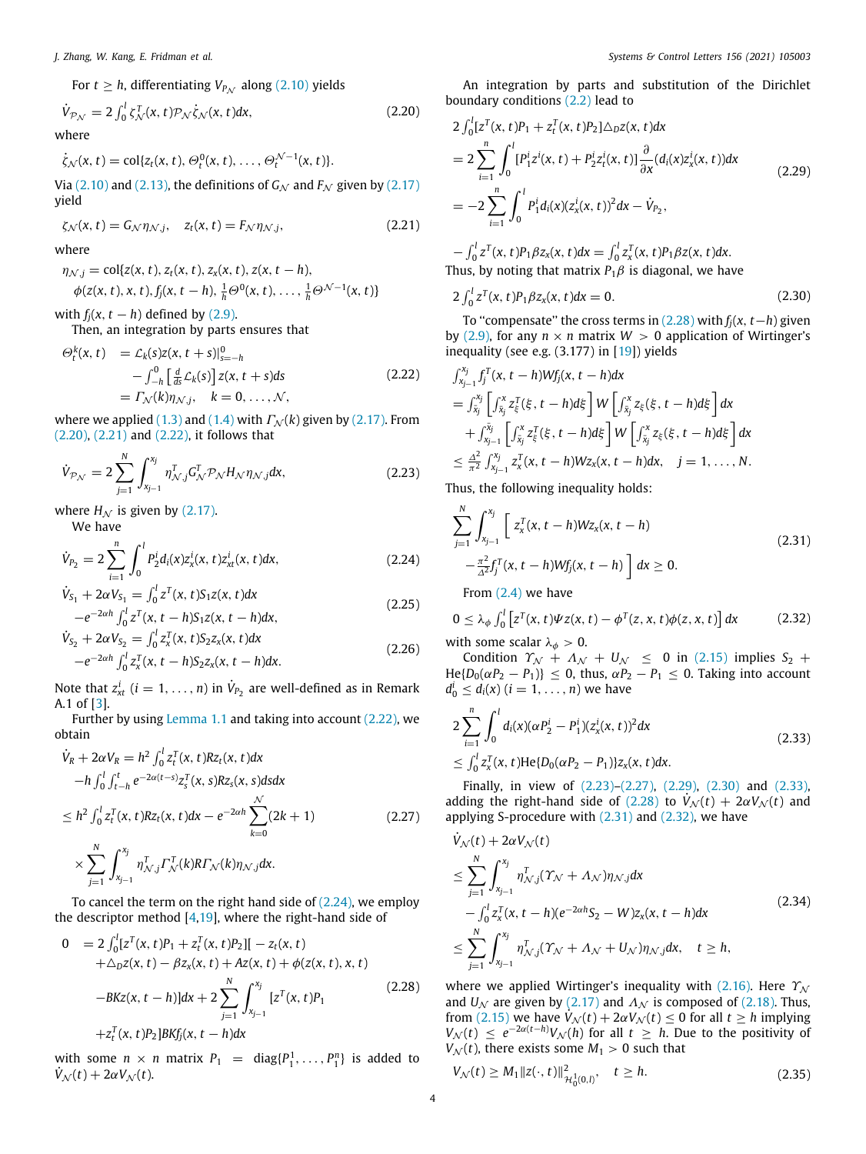For 
$$
t \ge h
$$
, differentiating  $V_{P_N}$  along (2.10) yields  
\n
$$
\dot{V}_{P_N} = 2 \int_0^l \zeta_N^T(x, t) \mathcal{P}_N \dot{\zeta}_N(x, t) dx,
$$
\n(2.20)

where

$$
\dot{\zeta}_{\mathcal{N}}(x,t)=\mathrm{col}\{z_t(x,t),\Theta_t^0(x,t),\ldots,\Theta_t^{\mathcal{N}-1}(x,t)\}.
$$

Via [\(2.10](#page-2-1)) and [\(2.13](#page-2-7)), the definitions of  $G_N$  and  $F_N$  given by [\(2.17\)](#page-2-8) yield

$$
\zeta_{\mathcal{N}}(x,t) = G_{\mathcal{N}} \eta_{\mathcal{N},j}, \quad z_t(x,t) = F_{\mathcal{N}} \eta_{\mathcal{N},j}, \tag{2.21}
$$

where

$$
\eta_{\mathcal{N},j} = \text{col}\{z(x,t), z_t(x,t), z_x(x,t), z(x,t-h), \n\phi(z(x,t), x, t), f_j(x, t-h), \frac{1}{h}\Theta^0(x, t), \dots, \frac{1}{h}\Theta^{\mathcal{N}-1}(x, t)\}
$$

with  $f_i(x, t - h)$  defined by ([2.9](#page-2-9)).

Then, an integration by parts ensures that

$$
\Theta_t^k(x, t) = \mathcal{L}_k(s)\mathcal{Z}(x, t+s)|_{s=-h}^0
$$
  

$$
-\int_{-h}^0 \left[\frac{d}{ds}\mathcal{L}_k(s)\right] \mathcal{Z}(x, t+s)ds
$$
  

$$
= \Gamma_{\mathcal{N}}(k)\eta_{\mathcal{N},j}, \quad k = 0, \dots, \mathcal{N},
$$
 (2.22)

where we applied ([1.3](#page-1-7)) and ([1.4](#page-1-8)) with  $\Gamma_N(k)$  given by [\(2.17\)](#page-2-8). From ([2.20](#page-3-0)), ([2.21](#page-3-1)) and [\(2.22](#page-3-2)), it follows that

$$
\dot{V}_{\mathcal{P}_{\mathcal{N}}} = 2 \sum_{j=1}^{N} \int_{x_{j-1}}^{x_j} \eta_{\mathcal{N},j}^T G_{\mathcal{N}}^T \mathcal{P}_{\mathcal{N}} H_{\mathcal{N}} \eta_{\mathcal{N},j} dx,
$$
\n(2.23)

where  $H_N$  is given by [\(2.17\)](#page-2-8). We have

$$
\dot{V}_{P_2} = 2 \sum_{i=1}^{n} \int_0^l P_2^i d_i(x) z_x^i(x, t) z_{xt}^i(x, t) dx,
$$
\n(2.24)

$$
\dot{V}_{S_1} + 2\alpha V_{S_1} = \int_0^l z^T(x, t) S_1 z(x, t) dx
$$
  

$$
-e^{-2\alpha h} \int_0^l z^T(x, t-h) S_1 z(x, t-h) dx,
$$
\n(2.25)

$$
\dot{V}_{S_2} + 2\alpha V_{S_2} = \int_0^l z_x^T(x, t) S_2 z_x(x, t) dx \n- e^{-2\alpha h} \int_0^l z_x^T(x, t - h) S_2 z_x(x, t - h) dx.
$$
\n(2.26)

Note that  $z_{xt}^i$   $(i = 1, \ldots, n)$  in  $\dot{V}_{P_2}$  are well-defined as in Remark A.1 of [[3\]](#page-8-2).

Further by using [Lemma](#page-1-6) [1.1](#page-1-6) and taking into account ([2.22](#page-3-2)), we obtain

$$
\dot{V}_R + 2\alpha V_R = h^2 \int_0^l z_t^T(x, t) Rz_t(x, t) dx \n- h \int_0^l \int_{t-h}^t e^{-2\alpha(t-s)} z_s^T(x, s) Rz_s(x, s) ds dx \n\leq h^2 \int_0^l z_t^T(x, t) Rz_t(x, t) dx - e^{-2\alpha h} \sum_{k=0}^{\mathcal{N}} (2k + 1) \n\times \sum_{j=1}^N \int_{x_{j-1}}^{x_j} \eta_{\mathcal{N},j}^T \Gamma_{\mathcal{N}}^T(k) R\Gamma_{\mathcal{N}}(k) \eta_{\mathcal{N},j} dx.
$$
\n(2.27)

To cancel the term on the right hand side of  $(2.24)$  $(2.24)$ , we employ the descriptor method  $[4,19]$  $[4,19]$  $[4,19]$ , where the right-hand side of

$$
0 = 2 \int_0^l [z^T(x, t)P_1 + z_t^T(x, t)P_2] [-z_t(x, t) + \Delta_D z(x, t) - \beta z_x(x, t) + Az(x, t) + \phi(z(x, t), x, t) - BKz(x, t - h)]dx + 2 \sum_{j=1}^N \int_{x_{j-1}}^{x_j} [z^T(x, t)P_1 + z_t^T(x, t)P_2] BKf_j(x, t - h)dx
$$
\n(2.28)

with some  $n \times n$  matrix  $P_1 = \text{diag}\{P_1^1, \ldots, P_1^n\}$  is added to  $V_N(t) + 2\alpha V_N(t)$ .

<span id="page-3-0"></span>An integration by parts and substitution of the Dirichlet boundary conditions ([2.2\)](#page-1-2) lead to

<span id="page-3-7"></span>
$$
2 \int_0^l [z^T(x, t)P_1 + z_t^T(x, t)P_2] \triangle_D z(x, t) dx
$$
  
\n
$$
= 2 \sum_{i=1}^n \int_0^l [P_1^i z^i(x, t) + P_2^i z_t^i(x, t)] \frac{\partial}{\partial x} (d_i(x) z_x^i(x, t)) dx
$$
  
\n
$$
= -2 \sum_{i=1}^n \int_0^l P_1^i d_i(x) (z_x^i(x, t))^2 dx - \dot{V}_{P_2},
$$
\n(2.29)

<span id="page-3-1"></span> $-\int_0^l z^T(x, t) P_1 \beta z_x(x, t) dx = \int_0^l z_x^T(x, t) P_1 \beta z(x, t) dx.$ Thus, by noting that matrix  $P_1\beta$  is diagonal, we have

<span id="page-3-8"></span>
$$
2\int_0^l z^T(x,t)P_1\beta z_x(x,t)dx = 0.
$$
 (2.30)

To ''compensate'' the cross terms in [\(2.28\)](#page-3-4) with *fj*(*x*, *t*−*h*) given by [\(2.9\)](#page-2-9), for any  $n \times n$  matrix  $W > 0$  application of Wirtinger's inequality (see e.g.  $(3.177)$  in  $[19]$ ) yields

<span id="page-3-2"></span>
$$
\int_{x_{j-1}}^{x_j} f_j^T(x, t - h)Wf_j(x, t - h)dx
$$
\n
$$
= \int_{\bar{x}_j}^{x_j} \left[ \int_{\bar{x}_j}^{x} z_{\xi}^T(\xi, t - h) d\xi \right] W \left[ \int_{\bar{x}_j}^{x} z_{\xi}(\xi, t - h) d\xi \right] dx
$$
\n
$$
+ \int_{x_{j-1}}^{\bar{x}_j} \left[ \int_{\bar{x}_j}^{x} z_{\xi}^T(\xi, t - h) d\xi \right] W \left[ \int_{\bar{x}_j}^{x} z_{\xi}(\xi, t - h) d\xi \right] dx
$$
\n
$$
\leq \frac{\Delta^2}{\pi^2} \int_{x_{j-1}}^{x_j} z_x^T(x, t - h) W z_x(x, t - h) dx, \quad j = 1, ..., N.
$$

<span id="page-3-5"></span>Thus, the following inequality holds:

<span id="page-3-10"></span><span id="page-3-3"></span>
$$
\sum_{j=1}^{N} \int_{x_{j-1}}^{x_j} \left[ z_x^T(x, t-h) W z_x(x, t-h) - \frac{\pi^2}{\Delta^2} f_j^T(x, t-h) W f_j(x, t-h) \right] dx \ge 0.
$$
\n
$$
\text{From (2.4) we have}
$$
\n(2.31)

<span id="page-3-11"></span>
$$
0 \leq \lambda_{\phi} \int_0^l \left[ z^T(x,t) \Psi z(x,t) - \phi^T(z,x,t) \phi(z,x,t) \right] dx \tag{2.32}
$$

with some scalar  $\lambda_{\phi} > 0$ .

Condition  $\Upsilon_{\mathcal{N}} + \Lambda_{\mathcal{N}} + U_{\mathcal{N}} \leq 0$  in [\(2.15](#page-2-10)) implies  $S_2$  +  $He{D_0(\alpha P_2 - P_1)} \le 0$ , thus,  $\alpha P_2 - P_1 \le 0$ . Taking into account  $d_0^i \leq d_i(x)$  (*i* = 1, . . . , *n*) we have

<span id="page-3-9"></span>
$$
2\sum_{i=1}^{n} \int_{0}^{l} d_{i}(x)(\alpha P_{2}^{i} - P_{1}^{i})(z_{x}^{i}(x, t))^{2} dx
$$
  
\n
$$
\leq \int_{0}^{l} z_{x}^{T}(x, t) He\{D_{0}(\alpha P_{2} - P_{1})\}z_{x}(x, t) dx.
$$
\n(2.33)

<span id="page-3-6"></span>Finally, in view of [\(2.23](#page-3-5))–[\(2.27\)](#page-3-6), ([2.29](#page-3-7)), [\(2.30\)](#page-3-8) and [\(2.33\)](#page-3-9), adding the right-hand side of ([2.28](#page-3-4)) to  $\dot{V}_{N}(t) + 2\alpha V_{N}(t)$  and applying S-procedure with ([2.31](#page-3-10)) and ([2.32](#page-3-11)), we have

$$
\dot{V}_{\mathcal{N}}(t) + 2\alpha V_{\mathcal{N}}(t) \n\leq \sum_{j=1}^{N} \int_{x_{j-1}}^{x_j} \eta_{\mathcal{N},j}^T(\Upsilon_{\mathcal{N}} + \Lambda_{\mathcal{N}}) \eta_{\mathcal{N},j} dx \n- \int_0^l z_x^T(x, t-h)(e^{-2\alpha h}S_2 - W)z_x(x, t-h) dx \n\leq \sum_{j=1}^{N} \int_{x_{j-1}}^{x_j} \eta_{\mathcal{N},j}^T(\Upsilon_{\mathcal{N}} + \Lambda_{\mathcal{N}} + U_{\mathcal{N}}) \eta_{\mathcal{N},j} dx, \quad t \geq h,
$$
\n(2.34)

<span id="page-3-4"></span>where we applied Wirtinger's inequality with ([2.16](#page-2-5)). Here  $\Upsilon_N$ and  $U_N$  are given by ([2.17](#page-2-8)) and  $\Lambda_N$  is composed of [\(2.18\)](#page-2-11). Thus, from ([2.15](#page-2-10)) we have  $\dot{V}_N(t) + 2\alpha V_N(t) \leq 0$  for all  $t \geq h$  implying  $V_N(t) \leq e^{-2\alpha(t-h)} V_N(h)$  for all  $t \geq h$ . Due to the positivity of  $V_N(t)$ , there exists some  $M_1 > 0$  such that

<span id="page-3-12"></span>
$$
V_{\mathcal{N}}(t) \ge M_1 \|z(\cdot, t)\|_{\mathcal{H}_0^1(0, t)}^2, \quad t \ge h. \tag{2.35}
$$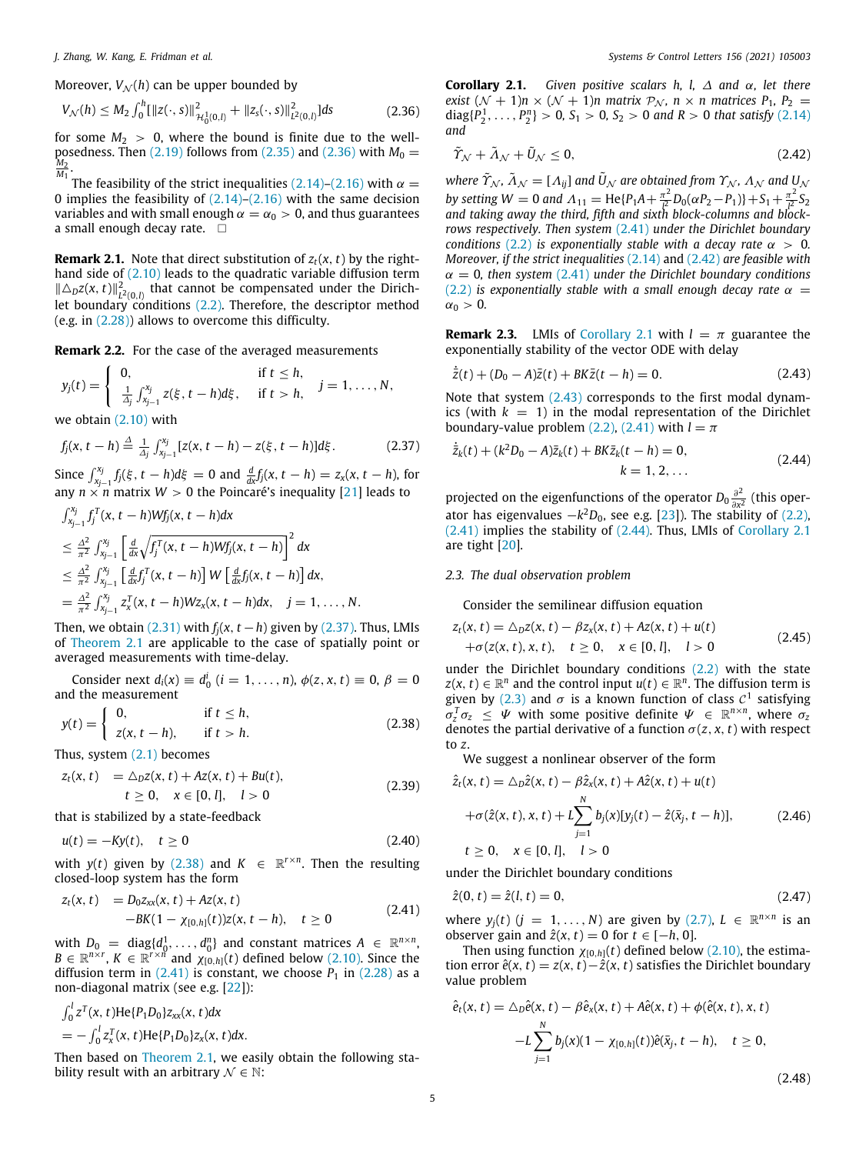Moreover,  $V_{\mathcal{N}}(h)$  can be upper bounded by

$$
V_{\mathcal{N}}(h) \le M_2 \int_0^h [||z(\cdot, s)||^2_{\mathcal{H}_0^1(0, l)} + ||z_s(\cdot, s)||^2_{L^2(0, l)}]ds
$$
 (2.36)

for some  $M_2 > 0$ , where the bound is finite due to the wellposedness. Then  $(2.19)$  follows from  $(2.35)$  and  $(2.36)$  $(2.36)$  with  $M_0 =$ *M*2 *M*1 .

The feasibility of the strict inequalities ([2.14\)](#page-2-4)–([2.16](#page-2-5)) with  $\alpha =$ 0 implies the feasibility of  $(2.14)$ – $(2.16)$  with the same decision variables and with small enough  $\alpha = \alpha_0 > 0$ , and thus guarantees a small enough decay rate.  $\square$ 

**Remark 2.1.** Note that direct substitution of  $z_t(x, t)$  by the righthand side of  $(2.10)$  $(2.10)$  leads to the quadratic variable diffusion term  $\|\Delta_D z(x,t)\|_{L^2(0,l)}^2$  that cannot be compensated under the Dirichlet boundary conditions  $(2.2)$  $(2.2)$  $(2.2)$ . Therefore, the descriptor method (e.g. in ([2.28\)](#page-3-4)) allows to overcome this difficulty.

**Remark 2.2.** For the case of the averaged measurements

$$
y_j(t) = \begin{cases} 0, & \text{if } t \leq h, \\ \frac{1}{\Delta_j} \int_{x_{j-1}}^{x_j} z(\xi, t-h) d\xi, & \text{if } t > h, \end{cases} \quad j = 1, ..., N,
$$

we obtain [\(2.10](#page-2-1)) with

$$
f_j(x, t-h) \stackrel{\Delta}{=} \frac{1}{\Delta_j} \int_{x_{j-1}}^{x_j} [z(x, t-h) - z(\xi, t-h)] d\xi. \tag{2.37}
$$

Since  $\int_{x_{j-1}}^{x_j} f_j(\xi, t-h) d\xi = 0$  and  $\frac{d}{dx} f_j(x, t-h) = z_x(x, t-h)$ , for any  $n \times n$  matrix  $W > 0$  the Poincaré's inequality [[21](#page-9-6)] leads to

$$
\int_{x_{j-1}}^{x_j} f_j^T(x, t - h)Wf_j(x, t - h)dx
$$
\n
$$
\leq \frac{\Delta^2}{\pi^2} \int_{x_{j-1}}^{x_j} \left[ \frac{d}{dx} \sqrt{f_j^T(x, t - h)Wf_j(x, t - h)} \right]^2 dx
$$
\n
$$
\leq \frac{\Delta^2}{\pi^2} \int_{x_{j-1}}^{x_j} \left[ \frac{d}{dx} f_j^T(x, t - h) \right] W \left[ \frac{d}{dx} f_j(x, t - h) \right] dx
$$
\n
$$
= \frac{\Delta^2}{\pi^2} \int_{x_{j-1}}^{x_j} z_x^T(x, t - h) Wz_x(x, t - h) dx, \quad j = 1, ..., N.
$$

Then, we obtain ([2.31\)](#page-3-10) with  $f_i(x, t-h)$  given by [\(2.37\)](#page-4-1). Thus, LMIs of [Theorem](#page-2-12) [2.1](#page-2-12) are applicable to the case of spatially point or averaged measurements with time-delay.

Consider next *d*<sub>*i*</sub>(*x*) ≡ *d*<sup>*i*</sup><sub>0</sub> (*i* = 1, ..., *n*), *φ*(*z*, *x*, *t*) ≡ 0, *β* = 0 and the measurement

$$
y(t) = \begin{cases} 0, & \text{if } t \le h, \\ z(x, t - h), & \text{if } t > h. \end{cases} \tag{2.38}
$$

Thus, system ([2.1](#page-1-1)) becomes

$$
z_t(x, t) = \Delta_D z(x, t) + Az(x, t) + Bu(t),
$$
  
\n
$$
t \ge 0, \quad x \in [0, l], \quad l > 0
$$
\n(2.39)

that is stabilized by a state-feedback

$$
u(t) = -Ky(t), \quad t \ge 0 \tag{2.40}
$$

with  $y(t)$  given by ([2.38](#page-4-2)) and  $K \in \mathbb{R}^{r \times n}$ . Then the resulting closed-loop system has the form

$$
z_t(x, t) = D_0 z_{xx}(x, t) + Az(x, t)
$$
  
-BK(1 -  $\chi_{[0, h]}(t)$ )z(x, t - h), t \ge 0 (2.41)

with  $D_0 = \text{diag}\{d_0^1, \ldots, d_0^n\}$  and constant matrices  $A \in \mathbb{R}^{n \times n}$ ,  $B \in \mathbb{R}^{n \times r}$ ,  $K \in \mathbb{R}^{r \times n}$  and  $\chi_{[0,h]}(t)$  defined below ([2.10\)](#page-2-1). Since the diffusion term in  $(2.41)$  is constant, we choose  $P_1$  in  $(2.28)$  as a non-diagonal matrix (see e.g. [\[22\]](#page-9-7)):

$$
\int_0^l z^T(x, t) \text{He}\{P_1D_0\} z_{xx}(x, t) dx \n= - \int_0^l z_x^T(x, t) \text{He}\{P_1D_0\} z_x(x, t) dx.
$$

<span id="page-4-5"></span>Then based on [Theorem](#page-2-12) [2.1,](#page-2-12) we easily obtain the following stability result with an arbitrary  $\mathcal{N} \in \mathbb{N}$ :

<span id="page-4-0"></span>**Corollary 2.1.** *Given positive scalars h, l,* ∆ *and* α*, let there exist*  $(N + 1)n \times (N + 1)n$  *matrix*  $P_N$ ,  $n \times n$  *matrices*  $P_1$ ,  $P_2$  =  $diag\{P_2^1, \ldots, P_2^n\} > 0, S_1 > 0, S_2 > 0$  *and*  $R > 0$  *that satisfy* [\(2.14\)](#page-2-4) *and*

<span id="page-4-4"></span>
$$
\tilde{\varUpsilon}_{\mathcal{N}} + \tilde{\varLambda}_{\mathcal{N}} + \tilde{\mathsf{U}}_{\mathcal{N}} \le 0,\tag{2.42}
$$

*where*  $\tilde{\gamma}_\mathcal{N}$ ,  $\tilde{\Lambda}_\mathcal{N} = [\Lambda_{ij}]$  and  $\tilde{U}_\mathcal{N}$  are obtained from  $\gamma_\mathcal{N}$ ,  $\Lambda_\mathcal{N}$  and  $U_\mathcal{N}$ *by setting W* = 0 *and*  $\Lambda_{11}$  = He{*P*<sub>1</sub>*A* +  $\frac{\pi^2}{l^2}$  $\frac{\pi^2}{l^2}D_0(\alpha P_2 - P_1)$ } + *S*<sub>1</sub> +  $\frac{\pi^2}{l^2}$  $\frac{\pi}{l^2}S_2$ *and taking away the third, fifth and sixth block-columns and blockrows respectively. Then system* [\(2.41](#page-4-3)) *under the Dirichlet boundary conditions* [\(2.2\)](#page-1-2) *is exponentially stable with a decay rate*  $\alpha > 0$ *. Moreover, if the strict inequalities* ([2.14](#page-2-4)) and ([2.42](#page-4-4)) *are feasible with*  $\alpha = 0$ , then system [\(2.41](#page-4-3)) under the Dirichlet boundary conditions ([2.2](#page-1-2)) *is exponentially stable with a small enough decay rate*  $\alpha$  =  $\alpha_0 > 0$ .

<span id="page-4-9"></span>**Remark 2.3.** LMIs of [Corollary](#page-4-5) [2.1](#page-4-5) with  $l = \pi$  guarantee the exponentially stability of the vector ODE with delay

<span id="page-4-6"></span>
$$
\dot{\bar{z}}(t) + (D_0 - A)\bar{z}(t) + BK\bar{z}(t - h) = 0.
$$
 (2.43)

Note that system ([2.43](#page-4-6)) corresponds to the first modal dynamics (with  $k = 1$ ) in the modal representation of the Dirichlet boundary-value problem [\(2.2\)](#page-1-2), ([2.41\)](#page-4-3) with  $l = \pi$ 

<span id="page-4-7"></span><span id="page-4-1"></span>
$$
\dot{\bar{z}}_k(t) + (k^2 D_0 - A)\bar{z}_k(t) + BK\bar{z}_k(t - h) = 0, \nk = 1, 2, ...
$$
\n(2.44)

projected on the eigenfunctions of the operator  $D_0 \frac{\partial^2}{\partial x^2}$  $\frac{\partial^2}{\partial x^2}$  (this operator has eigenvalues  $-k^2D_0$ , see e.g. [[23\]](#page-9-8)). The stability of [\(2.2\)](#page-1-2), ([2.41](#page-4-3)) implies the stability of ([2.44\)](#page-4-7). Thus, LMIs of [Corollary](#page-4-5) [2.1](#page-4-5) are tight [\[20\]](#page-9-5).

## *2.3. The dual observation problem*

Consider the semilinear diffusion equation

$$
z_t(x, t) = \Delta_D z(x, t) - \beta z_x(x, t) + Az(x, t) + u(t)
$$
  
+ $\sigma(z(x, t), x, t), t \ge 0, x \in [0, l], l > 0$  (2.45)

under the Dirichlet boundary conditions ([2.2](#page-1-2)) with the state  $z(x, t) \in \mathbb{R}^n$  and the control input  $u(t) \in \mathbb{R}^n$ . The diffusion term is given by [\(2.3\)](#page-1-9) and  $\sigma$  is a known function of class  $C^1$  satisfying  $\sigma_z^T \sigma_z \leq \Psi$  with some positive definite  $\Psi \in \mathbb{R}^{n \times n}$ , where  $\sigma_z$ denotes the partial derivative of a function  $\sigma(z, x, t)$  with respect to *z*.

<span id="page-4-2"></span>We suggest a nonlinear observer of the form

$$
\hat{z}_t(x, t) = \Delta_D \hat{z}(x, t) - \beta \hat{z}_x(x, t) + A\hat{z}(x, t) + u(t) \n+ \sigma(\hat{z}(x, t), x, t) + L \sum_{j=1}^N b_j(x)[y_j(t) - \hat{z}(\bar{x}_j, t - h)],
$$
\n
$$
t \ge 0, \quad x \in [0, l], \quad l > 0
$$
\n(2.46)

under the Dirichlet boundary conditions

$$
\hat{z}(0, t) = \hat{z}(l, t) = 0,\tag{2.47}
$$

<span id="page-4-3"></span>where  $y_j(t)$   $(j = 1, ..., N)$  are given by  $(2.7)$ ,  $L \in \mathbb{R}^{n \times n}$  is an observer gain and  $\hat{z}(x, t) = 0$  for  $t \in [-h, 0]$ .

Then using function  $\chi_{[0,h]}(t)$  defined below ([2.10](#page-2-1)), the estimation error  $\hat{e}(x, t) = z(x, t) - \hat{z}(x, t)$  satisfies the Dirichlet boundary value problem

<span id="page-4-8"></span>
$$
\hat{e}_t(x, t) = \Delta_D \hat{e}(x, t) - \beta \hat{e}_x(x, t) + A\hat{e}(x, t) + \phi(\hat{e}(x, t), x, t) \n-L \sum_{j=1}^N b_j(x)(1 - \chi_{[0, h]}(t))\hat{e}(\bar{x}_j, t - h), \quad t \ge 0,
$$
\n(2.48)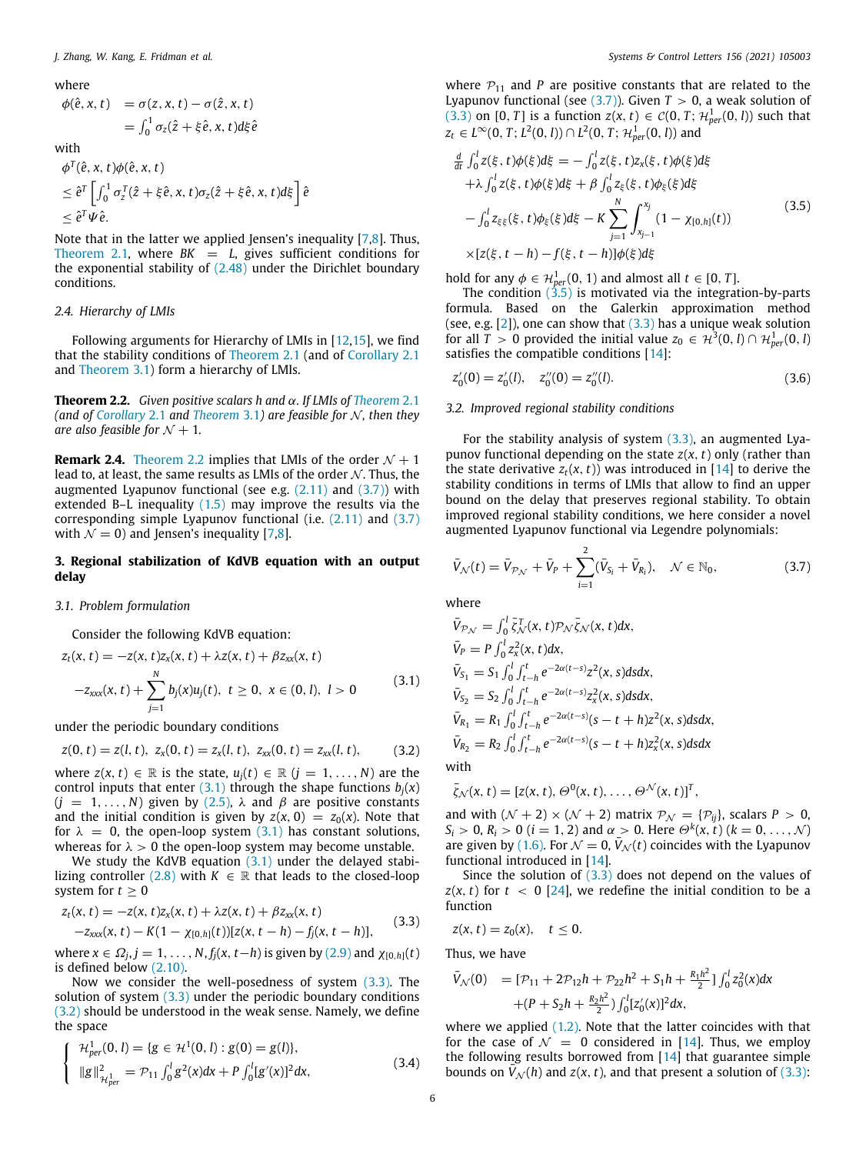## where

$$
\begin{aligned} \phi(\hat{e}, x, t) &= \sigma(z, x, t) - \sigma(\hat{z}, x, t) \\ &= \int_0^1 \sigma_z(\hat{z} + \xi \hat{e}, x, t) d\xi \hat{e} \end{aligned}
$$

with

$$
\phi^T(\hat{e}, x, t)\phi(\hat{e}, x, t)
$$
  
\n
$$
\leq \hat{e}^T \left[ \int_0^1 \sigma_z^T(\hat{z} + \xi \hat{e}, x, t) \sigma_z(\hat{z} + \xi \hat{e}, x, t) d\xi \right] \hat{e}
$$
  
\n
$$
\leq \hat{e}^T \Psi \hat{e}.
$$

Note that in the latter we applied Jensen's inequality [\[7,](#page-8-6)[8\]](#page-8-7). Thus, [Theorem](#page-2-12) [2.1](#page-2-12), where  $BK = L$ , gives sufficient conditions for the exponential stability of  $(2.48)$  $(2.48)$  under the Dirichlet boundary conditions.

## *2.4. Hierarchy of LMIs*

Following arguments for Hierarchy of LMIs in [[12](#page-8-11)[,15\]](#page-9-0), we find that the stability conditions of [Theorem](#page-2-12) [2.1](#page-2-12) (and of [Corollary](#page-4-5) [2.1](#page-4-5) and [Theorem](#page-6-0) [3.1](#page-6-0)) form a hierarchy of LMIs.

<span id="page-5-0"></span>**Theorem 2.2.** *Given positive scalars h and* α*. If LMIs of [Theorem](#page-2-12)* [2.1](#page-2-12) *(and of [Corollary](#page-4-5) [2.1](#page-4-5) and [Theorem](#page-6-0) [3.1](#page-6-0)) are feasible for N, then they are also feasible for*  $N + 1$ .

**Remark 2.4.** [Theorem](#page-5-0) [2.2](#page-5-0) implies that LMIs of the order  $N + 1$ lead to, at least, the same results as LMIs of the order  $N$ . Thus, the augmented Lyapunov functional (see e.g. ([2.11](#page-2-6)) and ([3.7](#page-5-1))) with extended B–L inequality [\(1.5\)](#page-1-10) may improve the results via the corresponding simple Lyapunov functional (i.e. ([2.11](#page-2-6)) and [\(3.7\)](#page-5-1) with  $\mathcal{N} = 0$ ) and Jensen's inequality [\[7,](#page-8-6)[8\]](#page-8-7).

## **3. Regional stabilization of KdVB equation with an output delay**

## *3.1. Problem formulation*

Consider the following KdVB equation:

$$
z_t(x, t) = -z(x, t)z_x(x, t) + \lambda z(x, t) + \beta z_{xx}(x, t)
$$
  

$$
-z_{xxx}(x, t) + \sum_{j=1}^N b_j(x)u_j(t), t \ge 0, x \in (0, l), l > 0
$$
 (3.1)

under the periodic boundary conditions

$$
z(0, t) = z(l, t), z_x(0, t) = z_x(l, t), z_{xx}(0, t) = z_{xx}(l, t),
$$
 (3.2)

where  $z(x, t) \in \mathbb{R}$  is the state,  $u_i(t) \in \mathbb{R}$   $(i = 1, \ldots, N)$  are the control inputs that enter  $(3.1)$  through the shape functions  $b_i(x)$  $(j = 1, ..., N)$  given by ([2.5](#page-1-11)),  $\lambda$  and  $\beta$  are positive constants and the initial condition is given by  $z(x, 0) = z_0(x)$ . Note that for  $\lambda = 0$ , the open-loop system ([3.1](#page-5-2)) has constant solutions, whereas for  $\lambda > 0$  the open-loop system may become unstable.

We study the KdVB equation  $(3.1)$  under the delayed stabi-lizing controller [\(2.8\)](#page-2-0) with  $K \in \mathbb{R}$  that leads to the closed-loop system for  $t \geq 0$ 

$$
z_t(x, t) = -z(x, t)z_x(x, t) + \lambda z(x, t) + \beta z_{xx}(x, t)
$$
  
-z\_{xxx}(x, t) - K(1 - \chi\_{[0, h]}(t))[z(x, t - h) - f\_j(x, t - h)], (3.3)

where  $x \in \Omega_j$ ,  $j = 1, \ldots, N$ ,  $f_j(x, t-h)$  is given by ([2.9\)](#page-2-9) and  $\chi_{[0,h]}(t)$ is defined below [\(2.10\)](#page-2-1).

Now we consider the well-posedness of system [\(3.3\)](#page-5-3). The solution of system  $(3.3)$  $(3.3)$  $(3.3)$  under the periodic boundary conditions ([3.2](#page-5-4)) should be understood in the weak sense. Namely, we define the space

$$
\begin{cases}\n\mathcal{H}_{per}^1(0,l) = \{g \in \mathcal{H}^1(0,l) : g(0) = g(l)\}, \\
\|g\|_{\mathcal{H}_{per}^1}^2 = \mathcal{P}_{11} \int_0^l g^2(x) dx + P \int_0^l [g'(x)]^2 dx,\n\end{cases}
$$
\n(3.4)

where  $P_{11}$  and *P* are positive constants that are related to the Lyapunov functional (see  $(3.7)$  $(3.7)$  $(3.7)$ ). Given  $T > 0$ , a weak solution of ([3.3](#page-5-3)) on [0, *T*] is a function *z*(*x*, *t*)  $\in$  *C*(0, *T*;  $\mathcal{H}_{per}^1(0, l)$ ) such that  $z_t \in L^{\infty}(0, T; L^2(0, l)) \cap L^2(0, T; \mathcal{H}_{per}^1(0, l))$  and

<span id="page-5-5"></span>
$$
\frac{d}{dt} \int_0^l z(\xi, t) \phi(\xi) d\xi = - \int_0^l z(\xi, t) z_x(\xi, t) \phi(\xi) d\xi \n+ \lambda \int_0^l z(\xi, t) \phi(\xi) d\xi + \beta \int_0^l z_{\xi}(\xi, t) \phi_{\xi}(\xi) d\xi \n- \int_0^l z_{\xi\xi}(\xi, t) \phi_{\xi}(\xi) d\xi - K \sum_{j=1}^N \int_{x_{j-1}}^{x_j} (1 - \chi_{[0,h]}(t)) \n\times [z(\xi, t - h) - f(\xi, t - h)] \phi(\xi) d\xi
$$
\n(3.5)

hold for any  $\phi \in \mathcal{H}_{per}^1(0, 1)$  and almost all  $t \in [0, T]$ .

The condition  $(\frac{5.5}{1.5})$  is motivated via the integration-by-parts formula. Based on the Galerkin approximation method (see, e.g.  $[2]$  $[2]$  $[2]$ ), one can show that  $(3.3)$  $(3.3)$  $(3.3)$  has a unique weak solution for all *T* > 0 provided the initial value  $z_0 \in H^3(0, l) \cap H^1_{per}(0, l)$ satisfies the compatible conditions [[14](#page-8-13)]:

<span id="page-5-6"></span>
$$
z'_{0}(0) = z'_{0}(l), \quad z''_{0}(0) = z''_{0}(l). \tag{3.6}
$$

## *3.2. Improved regional stability conditions*

For the stability analysis of system  $(3.3)$ , an augmented Lyapunov functional depending on the state *z*(*x*, *t*) only (rather than the state derivative  $z_t(x, t)$ ) was introduced in [\[14\]](#page-8-13) to derive the stability conditions in terms of LMIs that allow to find an upper bound on the delay that preserves regional stability. To obtain improved regional stability conditions, we here consider a novel augmented Lyapunov functional via Legendre polynomials:

<span id="page-5-1"></span>
$$
\bar{V}_{\mathcal{N}}(t) = \bar{V}_{\mathcal{P}_{\mathcal{N}}} + \bar{V}_{P} + \sum_{i=1}^{2} (\bar{V}_{S_i} + \bar{V}_{R_i}), \quad \mathcal{N} \in \mathbb{N}_0, \tag{3.7}
$$

where

<span id="page-5-2"></span>
$$
\bar{V}_{P\mathcal{N}} = \int_0^l \bar{\zeta}_{\mathcal{N}}^T(x, t) \mathcal{P}_{\mathcal{N}} \bar{\zeta}_{\mathcal{N}}(x, t) dx,
$$
\n
$$
\bar{V}_P = P \int_0^l z_x^2(x, t) dx,
$$
\n
$$
\bar{V}_{S_1} = S_1 \int_0^l \int_{t-h}^t e^{-2\alpha(t-s)} z^2(x, s) ds dx,
$$
\n
$$
\bar{V}_{S_2} = S_2 \int_0^l \int_{t-h}^t e^{-2\alpha(t-s)} z_x^2(x, s) ds dx,
$$
\n
$$
\bar{V}_{R_1} = R_1 \int_0^l \int_{t-h}^t e^{-2\alpha(t-s)} (s-t+h) z^2(x, s) ds dx,
$$
\n
$$
\bar{V}_{R_2} = R_2 \int_0^l \int_{t-h}^t e^{-2\alpha(t-s)} (s-t+h) z_x^2(x, s) ds dx
$$
\nwith

<span id="page-5-4"></span>
$$
\bar{\zeta}_{\mathcal{N}}(x,t)=[z(x,t),\Theta^0(x,t),\ldots,\Theta^{\mathcal{N}}(x,t)]^T,
$$

and with  $(N + 2) \times (N + 2)$  matrix  $P_N = \{P_{ij}\}\$ , scalars  $P > 0$ , *S*<sub>*i*</sub> > 0, *R*<sub>*i*</sub> > 0 (*i* = 1, 2) and  $\alpha$  > 0. Here  $\Theta^k(x, t)$  (*k* = 0, ..., N) are given by [\(1.6\)](#page-1-5). For  $\mathcal{N} = 0$ ,  $V_{\mathcal{N}}(t)$  coincides with the Lyapunov functional introduced in [\[14\]](#page-8-13).

Since the solution of  $(3.3)$  does not depend on the values of  $z(x, t)$  for  $t < 0$  [[24\]](#page-9-9), we redefine the initial condition to be a function

<span id="page-5-3"></span>
$$
z(x, t) = z_0(x), \quad t \leq 0.
$$

Thus, we have

$$
\bar{V}_{\mathcal{N}}(0) = [\mathcal{P}_{11} + 2\mathcal{P}_{12}h + \mathcal{P}_{22}h^2 + S_1h + \frac{R_1h^2}{2}] \int_0^l Z_0^2(x) dx + (P + S_2h + \frac{R_2h^2}{2}) \int_0^l [Z_0'(x)]^2 dx,
$$

<span id="page-5-7"></span>where we applied [\(1.2\)](#page-1-12). Note that the latter coincides with that for the case of  $\mathcal{N} = 0$  considered in [[14](#page-8-13)]. Thus, we employ the following results borrowed from [[14\]](#page-8-13) that guarantee simple bounds on  $V_N(h)$  and  $z(x, t)$ , and that present a solution of [\(3.3\)](#page-5-3):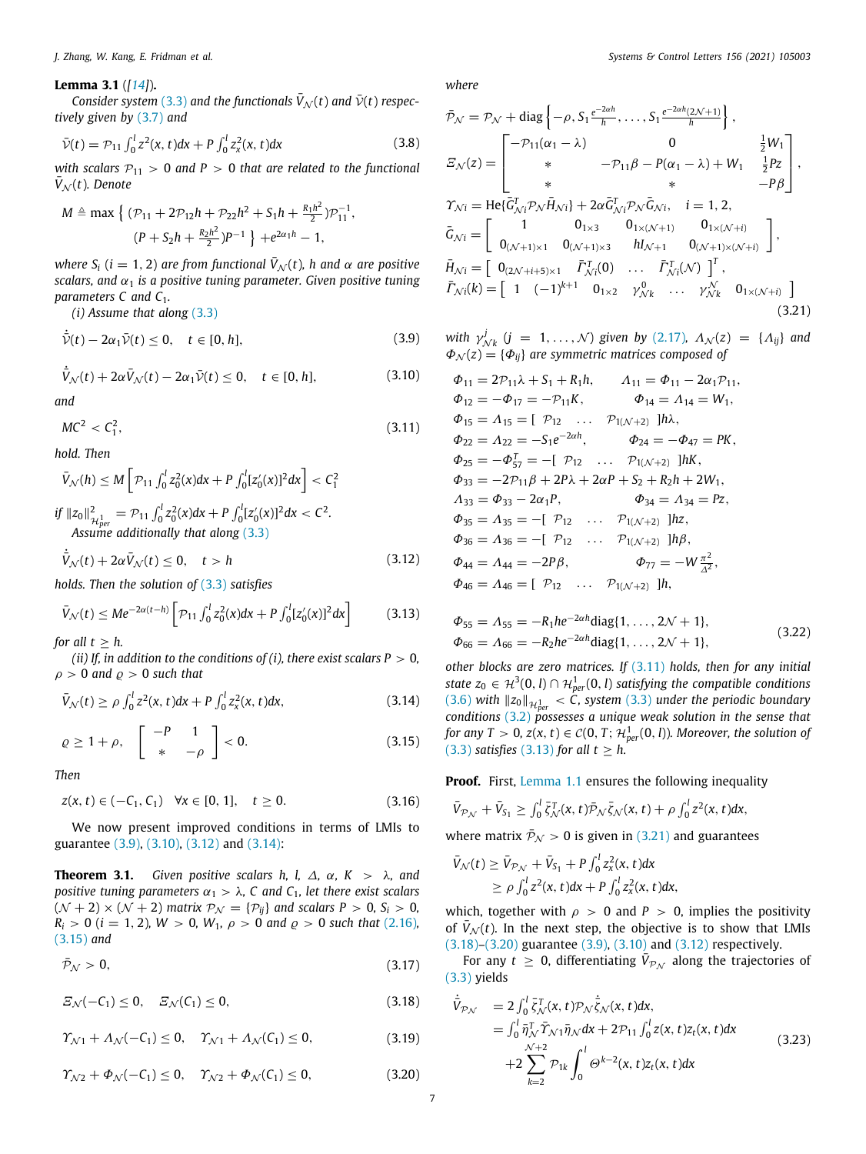## **Lemma 3.1** (*[[14\]](#page-8-13)*)**.**

*Consider system* [\(3.3\)](#page-5-3) and the functionals  $\bar{V}_{\mathcal{N}}(t)$  and  $\bar{V}(t)$  respec*tively given by* ([3.7](#page-5-1)) *and*

$$
\bar{\mathcal{V}}(t) = \mathcal{P}_{11} \int_0^l z^2(x, t) dx + P \int_0^l z_x^2(x, t) dx \tag{3.8}
$$

*with scalars*  $P_{11} > 0$  *and*  $P > 0$  *that are related to the functional*  $\bar{V}_N(t)$ *. Denote* 

$$
M \triangleq \max \left\{ (\mathcal{P}_{11} + 2\mathcal{P}_{12}h + \mathcal{P}_{22}h^2 + S_1h + \frac{R_1h^2}{2})\mathcal{P}_{11}^{-1}, \right. (P + S_2h + \frac{R_2h^2}{2})P^{-1} \left\} + e^{2\alpha_1h} - 1,
$$

*where*  $S_i$  (*i* = 1, 2) *are from functional*  $\overline{V}_N(t)$ *, h and*  $\alpha$  *are positive scalars, and*  $\alpha_1$  *is a positive tuning parameter. Given positive tuning parameters C and C*1*.*

*(i) Assume that along* [\(3.3\)](#page-5-3)

$$
\dot{\bar{\mathcal{V}}}(t) - 2\alpha_1 \bar{\mathcal{V}}(t) \le 0, \quad t \in [0, h], \tag{3.9}
$$

$$
\dot{\bar{V}}_{\mathcal{N}}(t) + 2\alpha \bar{V}_{\mathcal{N}}(t) - 2\alpha_1 \bar{\mathcal{V}}(t) \le 0, \quad t \in [0, h], \tag{3.10}
$$

*and*

$$
MC^2 < C_1^2,\tag{3.11}
$$

*hold. Then*

$$
\bar{V}_{\mathcal{N}}(h) \leq M \left[ \mathcal{P}_{11} \int_0^l z_0^2(x) dx + P \int_0^l [z_0'(x)]^2 dx \right] < C_1^2
$$
\n
$$
\text{if } \|z_0\|_{\mathcal{H}_{per}^1}^2 = \mathcal{P}_{11} \int_0^l z_0^2(x) dx + P \int_0^l [z_0'(x)]^2 dx < C^2.
$$
\nAssume additionally that along (3.3)

$$
\dot{\bar{V}}_{\mathcal{N}}(t) + 2\alpha \bar{V}_{\mathcal{N}}(t) \le 0, \quad t > h \tag{3.12}
$$

*holds. Then the solution of* [\(3.3\)](#page-5-3) *satisfies*

$$
\bar{V}_{\mathcal{N}}(t) \leq Me^{-2\alpha(t-h)} \left[ \mathcal{P}_{11} \int_0^l z_0^2(x) dx + P \int_0^l [z_0'(x)]^2 dx \right] \tag{3.13}
$$

*for all*  $t > h$ .

*(ii) If, in addition to the conditions of (i), there exist scalars P*  $> 0$ *,*  $\rho > 0$  and  $\rho > 0$  such that

$$
\bar{V}_{\mathcal{N}}(t) \ge \rho \int_0^l z^2(x, t) dx + P \int_0^l z_x^2(x, t) dx,
$$
\n(3.14)

$$
\varrho \ge 1 + \rho, \quad \left[ \begin{array}{cc} -P & 1 \\ * & -\rho \end{array} \right] < 0. \tag{3.15}
$$

*Then*

$$
z(x, t) \in (-C_1, C_1) \quad \forall x \in [0, 1], \quad t \ge 0.
$$
 (3.16)

We now present improved conditions in terms of LMIs to guarantee ([3.9](#page-6-1)), [\(3.10](#page-6-2)), [\(3.12\)](#page-6-3) and ([3.14\)](#page-6-4):

<span id="page-6-0"></span>**Theorem 3.1.** *Given positive scalars h, l,*  $\Delta$ *,*  $\alpha$ *, K >*  $\lambda$ *, and positive tuning parameters*  $\alpha_1 > \lambda$ , C and C<sub>1</sub>, let there exist scalars  $(N + 2) \times (N + 2)$  *matrix*  $P_N = {P_{ij}}$  *and scalars*  $P > 0$ ,  $S_i > 0$ ,  $R_i > 0$  (*i* = 1, 2)*, W* > 0*, W*<sub>1</sub>*,*  $\rho > 0$  *and*  $\rho > 0$  *<i>such that* (2.16*),* ([3.15](#page-6-5)) *and*

$$
\bar{\mathcal{P}}_{\mathcal{N}} > 0,\tag{3.17}
$$

 $E_{\mathcal{N}}(-C_1) \leq 0, \quad E_{\mathcal{N}}(C_1) \leq 0,$  (3.18)

$$
\Upsilon_{\mathcal{N}1} + \Lambda_{\mathcal{N}}(-C_1) \le 0, \quad \Upsilon_{\mathcal{N}1} + \Lambda_{\mathcal{N}}(C_1) \le 0,
$$
\n(3.19)

$$
\varUpsilon_{\mathcal{N}2} + \varPhi_{\mathcal{N}}(-C_1) \le 0, \quad \varUpsilon_{\mathcal{N}2} + \varPhi_{\mathcal{N}}(C_1) \le 0, \tag{3.20}
$$

*J. Zhang, W. Kang, E. Fridman et al. Systems & Control Letters 156 (2021) 105003*

*where*

<span id="page-6-13"></span>
$$
\bar{\mathcal{P}}_{\mathcal{N}} = \mathcal{P}_{\mathcal{N}} + \text{diag}\left\{-\rho, S_1 \frac{e^{-2\alpha h}}{h}, \dots, S_1 \frac{e^{-2\alpha h}(2\mathcal{N}+1)}{h}\right\},\newline\n\Xi_{\mathcal{N}}(z) = \begin{bmatrix}\n-\mathcal{P}_{11}(\alpha_1 - \lambda) & 0 & \frac{1}{2}W_1 \\
* & -\mathcal{P}_{11}\beta - P(\alpha_1 - \lambda) + W_1 & \frac{1}{2}Pz \\
* & * & -P\beta\n\end{bmatrix},\newline\n\Upsilon_{\mathcal{N}i} = \text{He}\{\bar{G}_{\mathcal{N}i}^T \mathcal{P}_{\mathcal{N}}\bar{H}_{\mathcal{N}i}\} + 2\alpha \bar{G}_{\mathcal{N}i}^T \mathcal{P}_{\mathcal{N}}\bar{G}_{\mathcal{N}i}, \quad i = 1, 2,\newline\n\bar{G}_{\mathcal{N}i} = \begin{bmatrix}\n1 & 0_{1 \times 3} & 0_{1 \times (\mathcal{N}+1)} & 0_{1 \times (\mathcal{N}+i)} \\
0_{(\mathcal{N}+1) \times 1} & 0_{(\mathcal{N}+1) \times 3} & hI_{\mathcal{N}+1} & 0_{(\mathcal{N}+1) \times (\mathcal{N}+i)}\n\end{bmatrix},\newline\n\bar{H}_{\mathcal{N}i} = \begin{bmatrix}\n0_{(2\mathcal{N}+i+5) \times 1} & \bar{F}_{\mathcal{N}i}^T(0) & \dots & \bar{F}_{\mathcal{N}i}^T(\mathcal{N})\n\end{bmatrix}^T,\newline\n\bar{F}_{\mathcal{N}i}(k) = \begin{bmatrix}\n1 & (-1)^{k+1} & 0_{1 \times 2} & \gamma_{\mathcal{N}k}^0 & \dots & \gamma_{\mathcal{N}k}^N & 0_{1 \times (\mathcal{N}+i)}\n\end{bmatrix}
$$
\n(3.21)

<span id="page-6-8"></span><span id="page-6-1"></span>with 
$$
\gamma_{Nk}^j
$$
  $(j = 1, ..., N)$  given by (2.17),  $\Lambda_N(z) = {\Lambda_{ij}}$  and  $\Phi_N(z) = {\Phi_{ij}}$  are symmetric matrices composed of

<span id="page-6-6"></span><span id="page-6-2"></span>
$$
\Phi_{11} = 2\mathcal{P}_{11}\lambda + S_1 + R_1h, \qquad \Lambda_{11} = \Phi_{11} - 2\alpha_1\mathcal{P}_{11},
$$
  
\n
$$
\Phi_{12} = -\Phi_{17} = -\mathcal{P}_{11}K, \qquad \Phi_{14} = \Lambda_{14} = W_1,
$$
  
\n
$$
\Phi_{15} = \Lambda_{15} = [\mathcal{P}_{12} \dots \mathcal{P}_{1(\mathcal{N}+2)}]h\lambda,
$$
  
\n
$$
\Phi_{22} = \Lambda_{22} = -S_1e^{-2\alpha h}, \qquad \Phi_{24} = -\Phi_{47} = \mathcal{P}K,
$$
  
\n
$$
\Phi_{25} = -\Phi_{57}^T = -[\mathcal{P}_{12} \dots \mathcal{P}_{1(\mathcal{N}+2)}]hK,
$$
  
\n
$$
\Phi_{33} = -2\mathcal{P}_{11}\beta + 2\mathcal{P}\lambda + 2\alpha\mathcal{P} + S_2 + R_2h + 2W_1,
$$
  
\n
$$
\Lambda_{33} = \Phi_{33} - 2\alpha_1\mathcal{P}, \qquad \Phi_{34} = \Lambda_{34} = \mathcal{P}z,
$$
  
\n
$$
\Phi_{35} = \Lambda_{35} = -[\mathcal{P}_{12} \dots \mathcal{P}_{1(\mathcal{N}+2)}]h\mathcal{P},
$$
  
\n
$$
\Phi_{46} = \Lambda_{44} = -2\mathcal{P}\beta, \qquad \Phi_{77} = -W\frac{\pi^2}{\Delta^2},
$$
  
\n
$$
\Phi_{46} = \Lambda_{46} = [\mathcal{P}_{12} \dots \mathcal{P}_{1(\mathcal{N}+2)}]h,
$$

<span id="page-6-12"></span><span id="page-6-7"></span><span id="page-6-3"></span>
$$
\Phi_{55} = \Lambda_{55} = -R_1 h e^{-2\alpha h} \text{diag}\{1, \dots, 2\mathcal{N} + 1\},
$$
  
\n
$$
\Phi_{66} = \Lambda_{66} = -R_2 h e^{-2\alpha h} \text{diag}\{1, \dots, 2\mathcal{N} + 1\},
$$
\n(3.22)

<span id="page-6-4"></span>*other blocks are zero matrices. If* ([3.11](#page-6-6)) *holds, then for any initial state*  $z_0 \in H^3(0, l) \cap H^1_{per}(0, l)$  *satisfying the compatible conditions* ([3.6](#page-5-6)) with  $||z_0||_{\mathcal{H}_{per}^1}$  < C, system ([3.3](#page-5-3)) under the periodic boundary *conditions* [\(3.2](#page-5-4)) *possesses a unique weak solution in the sense that* for any  $T > 0$ ,  $z(x, t) \in C(0, T;$   $\mathcal{H}_{per}^1(0, l)$ ). Moreover, the solution of ([3.3](#page-5-3)) *satisfies* ([3.13\)](#page-6-7) *for all*  $t \geq h$ .

<span id="page-6-14"></span><span id="page-6-5"></span>**Proof.** First, [Lemma](#page-1-6) [1.1](#page-1-6) ensures the following inequality

$$
\bar{V}_{\mathcal{P}_{\mathcal{N}}}+\bar{V}_{S_1}\geq \int_0^l \bar{\zeta}_{\mathcal{N}}^T(x,t)\bar{\mathcal{P}}_{\mathcal{N}}\bar{\zeta}_{\mathcal{N}}(x,t)+\rho \int_0^l z^2(x,t)dx,
$$

where matrix  $\bar{P}_N > 0$  is given in [\(3.21\)](#page-6-8) and guarantees

$$
\bar{V}_{\mathcal{N}}(t) \geq \bar{V}_{\mathcal{P}_{\mathcal{N}}} + \bar{V}_{S_1} + P \int_0^l z_x^2(x, t) dx \n\geq \rho \int_0^l z^2(x, t) dx + P \int_0^l z_x^2(x, t) dx,
$$

which, together with  $\rho > 0$  and  $P > 0$ , implies the positivity of  $\bar{V}_{\mathcal{N}}(t)$ . In the next step, the objective is to show that LMIs ([3.18](#page-6-9))–([3.20](#page-6-10)) guarantee [\(3.9\)](#page-6-1), ([3.10\)](#page-6-2) and ([3.12](#page-6-3)) respectively.

For any  $t \geq 0$ , differentiating  $\bar{V}_{\mathcal{P}_\mathcal{N}}$  along the trajectories of ([3.3](#page-5-3)) yields

<span id="page-6-11"></span><span id="page-6-10"></span><span id="page-6-9"></span>
$$
\dot{\bar{V}}_{P_{\mathcal{N}}} = 2 \int_0^l \bar{\zeta}_{\mathcal{N}}^T(x, t) \mathcal{P}_{\mathcal{N}} \dot{\bar{\zeta}}_{\mathcal{N}}(x, t) dx,\n= \int_0^l \bar{\eta}_{\mathcal{N}}^T \bar{\Upsilon}_{\mathcal{N}} \mathbf{1} \bar{\eta}_{\mathcal{N}} dx + 2 \mathcal{P}_{11} \int_0^l z(x, t) z_t(x, t) dx\n+ 2 \sum_{k=2}^{\mathcal{N}+2} \mathcal{P}_{1k} \int_0^l \Theta^{k-2}(x, t) z_t(x, t) dx
$$
\n(3.23)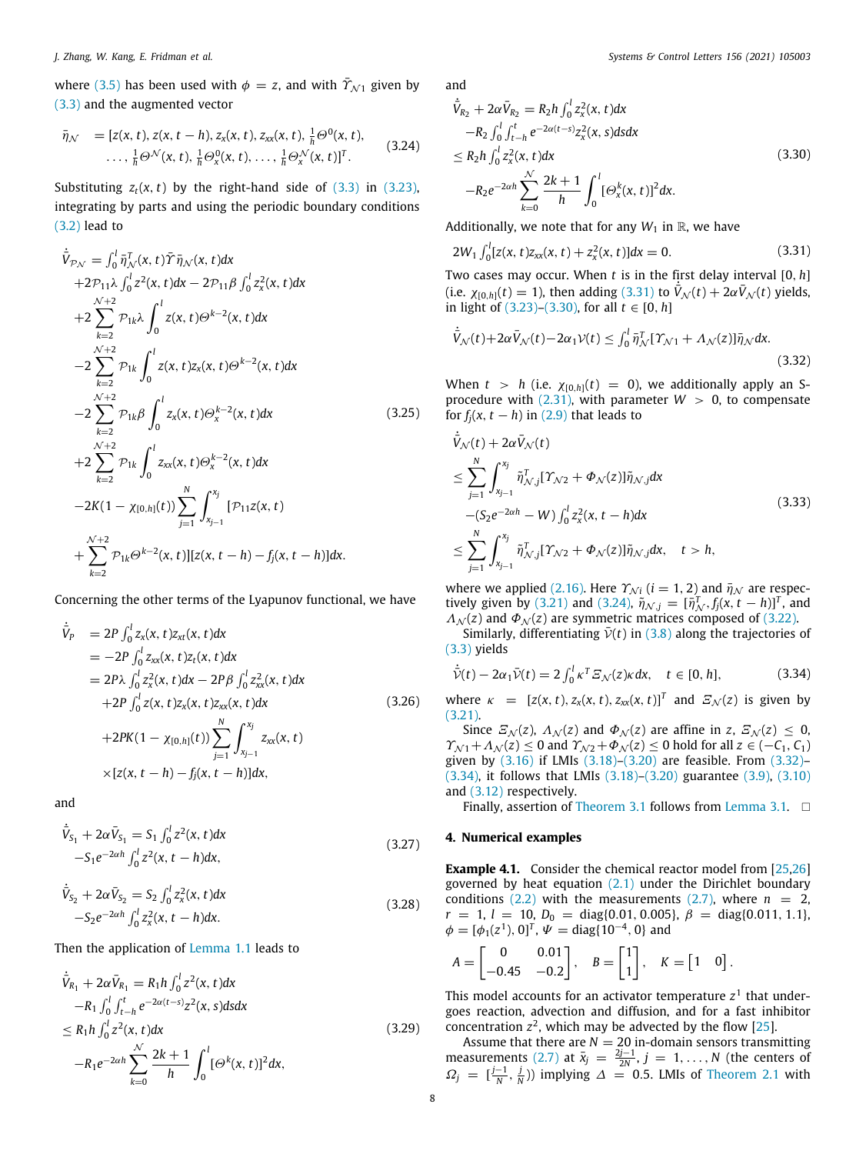where [\(3.5\)](#page-5-5) has been used with  $\phi = z$ , and with  $\bar{\gamma}_{N1}$  given by ([3.3](#page-5-3)) and the augmented vector

$$
\bar{\eta}_{\mathcal{N}} = [z(x, t), z(x, t - h), z_{x}(x, t), z_{xx}(x, t), \frac{1}{h}\Theta^{0}(x, t), \dots, \frac{1}{h}\Theta^{\mathcal{N}}(x, t), \frac{1}{h}\Theta^{0}_{x}(x, t), \dots, \frac{1}{h}\Theta^{\mathcal{N}}_{x}(x, t)]^{T}.
$$
\n(3.24)

Substituting  $z_t(x, t)$  by the right-hand side of  $(3.3)$  in  $(3.23)$ , integrating by parts and using the periodic boundary conditions ([3.2](#page-5-4)) lead to

$$
\dot{\bar{V}}_{P_{N}} = \int_{0}^{1} \bar{\eta}_{N}^{T}(x, t) \bar{\Upsilon} \bar{\eta}_{N}(x, t) dx \n+2\mathcal{P}_{11}\lambda \int_{0}^{1} z^{2}(x, t) dx - 2\mathcal{P}_{11}\beta \int_{0}^{1} z_{x}^{2}(x, t) dx \n+2\sum_{k=2}^{N+2} \mathcal{P}_{1k}\lambda \int_{0}^{1} z(x, t) \Theta^{k-2}(x, t) dx \n-2\sum_{k=2}^{N+2} \mathcal{P}_{1k} \int_{0}^{1} z(x, t) z_{x}(x, t) \Theta^{k-2}(x, t) dx \n-2\sum_{k=2}^{N+2} \mathcal{P}_{1k}\beta \int_{0}^{1} z_{x}(x, t) \Theta_{x}^{k-2}(x, t) dx \n+2\sum_{k=2}^{N+2} \mathcal{P}_{1k} \int_{0}^{1} z_{xx}(x, t) \Theta_{x}^{k-2}(x, t) dx \n-2K(1 - \chi_{[0,h]}(t)) \sum_{j=1}^{N} \int_{x_{j-1}}^{x_{j}} [\mathcal{P}_{11} z(x, t) \n+ \sum_{k=2}^{N+2} \mathcal{P}_{1k} \Theta^{k-2}(x, t)] [z(x, t-h) - f_{j}(x, t-h)] dx.
$$
\n(3.25)

Concerning the other terms of the Lyapunov functional, we have

$$
\dot{\bar{V}}_P = 2P \int_0^l z_x(x, t) z_{xt}(x, t) dx \n= -2P \int_0^l z_{xx}(x, t) z_t(x, t) dx \n= 2P\lambda \int_0^l z_x^2(x, t) dx - 2P\beta \int_0^l z_{xx}^2(x, t) dx \n+ 2P \int_0^l z(x, t) z_x(x, t) z_{xx}(x, t) dx \n+ 2P K(1 - \chi_{[0,h]}(t)) \sum_{j=1}^N \int_{x_{j-1}}^{x_j} z_{xx}(x, t) \n\times [z(x, t - h) - f_j(x, t - h)] dx,
$$
\n(3.26)

and

$$
\dot{\bar{V}}_{S_1} + 2\alpha \bar{V}_{S_1} = S_1 \int_0^l z^2(x, t) dx
$$
  
-S\_1 e^{-2\alpha h} \int\_0^l z^2(x, t - h) dx, \t\t(3.27)

$$
\dot{\bar{V}}_{S_2} + 2\alpha \bar{V}_{S_2} = S_2 \int_0^l z_x^2(x, t) dx
$$
  
-S\_2 e^{-2\alpha h} \int\_0^l z\_x^2(x, t - h) dx. \t(3.28)

Then the application of [Lemma](#page-1-6) [1.1](#page-1-6) leads to

$$
\dot{\bar{V}}_{R_1} + 2\alpha \bar{V}_{R_1} = R_1 h \int_0^l z^2(x, t) dx
$$
  
\n
$$
-R_1 \int_0^l \int_{t-h}^t e^{-2\alpha(t-s)} z^2(x, s) ds dx
$$
  
\n
$$
\leq R_1 h \int_0^l z^2(x, t) dx
$$
  
\n
$$
-R_1 e^{-2\alpha h} \sum_{k=0}^{\mathcal{N}} \frac{2k+1}{h} \int_0^l [\Theta^k(x, t)]^2 dx,
$$
\n(3.29)

and

<span id="page-7-2"></span><span id="page-7-1"></span>
$$
\dot{\bar{V}}_{R_2} + 2\alpha \bar{V}_{R_2} = R_2 h \int_0^l z_x^2(x, t) dx
$$
  
\n
$$
-R_2 \int_0^l \int_{t-h}^t e^{-2\alpha(t-s)} z_x^2(x, s) ds dx
$$
  
\n
$$
\leq R_2 h \int_0^l z_x^2(x, t) dx
$$
  
\n
$$
-R_2 e^{-2\alpha h} \sum_{k=0}^{\mathcal{N}} \frac{2k+1}{h} \int_0^l [\Theta_x^k(x, t)]^2 dx.
$$
\n(3.30)

Additionally, we note that for any  $W_1$  in  $\mathbb{R}$ , we have

<span id="page-7-0"></span>
$$
2W_1 \int_0^l [z(x, t)z_{xx}(x, t) + z_x^2(x, t)]dx = 0.
$$
 (3.31)

Two cases may occur. When *t* is in the first delay interval [0, *h*] (i.e.  $\chi_{[0,h]}(t) = 1$ ), then adding ([3.31\)](#page-7-0) to  $\bar{V}_{N}(t) + 2\alpha \bar{V}_{N}(t)$  yields, in light of ([3.23\)](#page-6-11)–([3.30](#page-7-1)), for all *t* ∈ [0, *h*]

<span id="page-7-3"></span>
$$
\dot{\bar{V}}_{\mathcal{N}}(t) + 2\alpha \bar{V}_{\mathcal{N}}(t) - 2\alpha_1 \mathcal{V}(t) \le \int_0^l \bar{\eta}_{\mathcal{N}}^T [\Upsilon_{\mathcal{N}1} + \Lambda_{\mathcal{N}}(z)] \bar{\eta}_{\mathcal{N}} dx.
$$
\n(3.32)

When  $t > h$  (i.e.  $\chi_{[0,h]}(t) = 0$ ), we additionally apply an Sprocedure with  $(2.31)$  $(2.31)$  $(2.31)$ , with parameter  $W > 0$ , to compensate for  $f_j(x, t - h)$  in ([2.9](#page-2-9)) that leads to

$$
\dot{\bar{V}}_{\mathcal{N}}(t) + 2\alpha \bar{V}_{\mathcal{N}}(t) \n\leq \sum_{j=1}^{N} \int_{x_{j-1}}^{x_j} \tilde{\eta}_{\mathcal{N},j}^T [\Upsilon_{\mathcal{N}2} + \Phi_{\mathcal{N}}(z)] \tilde{\eta}_{\mathcal{N},j} dx \n-(S_2 e^{-2\alpha h} - W) \int_0^l z_x^2(x, t - h) dx \n\leq \sum_{j=1}^{N} \int_{x_{j-1}}^{x_j} \tilde{\eta}_{\mathcal{N},j}^T [\Upsilon_{\mathcal{N}2} + \Phi_{\mathcal{N}}(z)] \tilde{\eta}_{\mathcal{N},j} dx, \quad t > h,
$$
\n(3.33)

where we applied ([2.16](#page-2-5)). Here  $\Upsilon_{Ni}$  ( $i = 1, 2$ ) and  $\bar{\eta}_{N}$  are respec-tively given by [\(3.21\)](#page-6-8) and [\(3.24\)](#page-7-2),  $\tilde{\eta}_{N,j} = [\tilde{\eta}_{N}^{T}, f_{j}(x, t - h)]^{T}$ , and  $\Lambda_N(z)$  and  $\Phi_N(z)$  are symmetric matrices composed of [\(3.22\)](#page-6-12).

Similarly, differentiating  $\bar{v}(t)$  in [\(3.8\)](#page-6-13) along the trajectories of ([3.3](#page-5-3)) yields

<span id="page-7-4"></span>
$$
\dot{\bar{\mathcal{V}}}(t) - 2\alpha_1 \bar{\mathcal{V}}(t) = 2 \int_0^l \kappa^T \mathcal{E}_{\mathcal{N}}(z) \kappa \, dx, \quad t \in [0, h], \tag{3.34}
$$

where  $\kappa = [z(x, t), z_x(x, t), z_{xx}(x, t)]^T$  and  $\mathcal{Z}_{\mathcal{N}}(z)$  is given by ([3.21](#page-6-8)).

Since  $\mathcal{Z}_N(z)$ ,  $\Lambda_N(z)$  and  $\Phi_N(z)$  are affine in *z*,  $\mathcal{Z}_N(z) \leq 0$ ,  $\gamma_{N1} + \Lambda_N(z) \leq 0$  and  $\gamma_{N2} + \Phi_N(z) \leq 0$  hold for all  $z \in (-C_1, C_1)$ given by ([3.16\)](#page-6-14) if LMIs [\(3.18](#page-6-9))–[\(3.20\)](#page-6-10) are feasible. From [\(3.32\)](#page-7-3)– ([3.34](#page-7-4)), it follows that LMIs ([3.18\)](#page-6-9)–([3.20](#page-6-10)) guarantee ([3.9\)](#page-6-1), [\(3.10\)](#page-6-2) and ([3.12](#page-6-3)) respectively.

Finally, assertion of [Theorem](#page-6-0) [3.1](#page-5-7) follows from [Lemma](#page-5-7) 3.1.  $\Box$ 

## **4. Numerical examples**

<span id="page-7-5"></span>**Example 4.1.** Consider the chemical reactor model from [[25](#page-9-10)[,26\]](#page-9-11) governed by heat equation  $(2.1)$  $(2.1)$  $(2.1)$  under the Dirichlet boundary conditions  $(2.2)$  with the measurements  $(2.7)$ , where  $n = 2$ ,  $r = 1$ ,  $l = 10$ ,  $D_0 = \text{diag}{0.01, 0.005}$ ,  $\beta = \text{diag}{0.011, 1.1}$ ,  $\phi = [\phi_1(z^1), 0]^T$ ,  $\psi = \text{diag}\{10^{-4}, 0\}$  and

$$
A = \begin{bmatrix} 0 & 0.01 \\ -0.45 & -0.2 \end{bmatrix}, \quad B = \begin{bmatrix} 1 \\ 1 \end{bmatrix}, \quad K = \begin{bmatrix} 1 & 0 \end{bmatrix}.
$$

This model accounts for an activator temperature  $z<sup>1</sup>$  that undergoes reaction, advection and diffusion, and for a fast inhibitor concentration  $z^2$ , which may be advected by the flow [\[25\]](#page-9-10).

Assume that there are  $N = 20$  in-domain sensors transmitting measurements ([2.7](#page-1-4)) at  $\bar{x}_j = \frac{2j-1}{2N}, j = 1, ..., N$  (the centers of  $\Omega_j = \left[\frac{j-1}{N}, \frac{j}{N}\right)$  implying  $\Delta = 0.5$ . LMIs of [Theorem](#page-2-12) [2.1](#page-2-12) with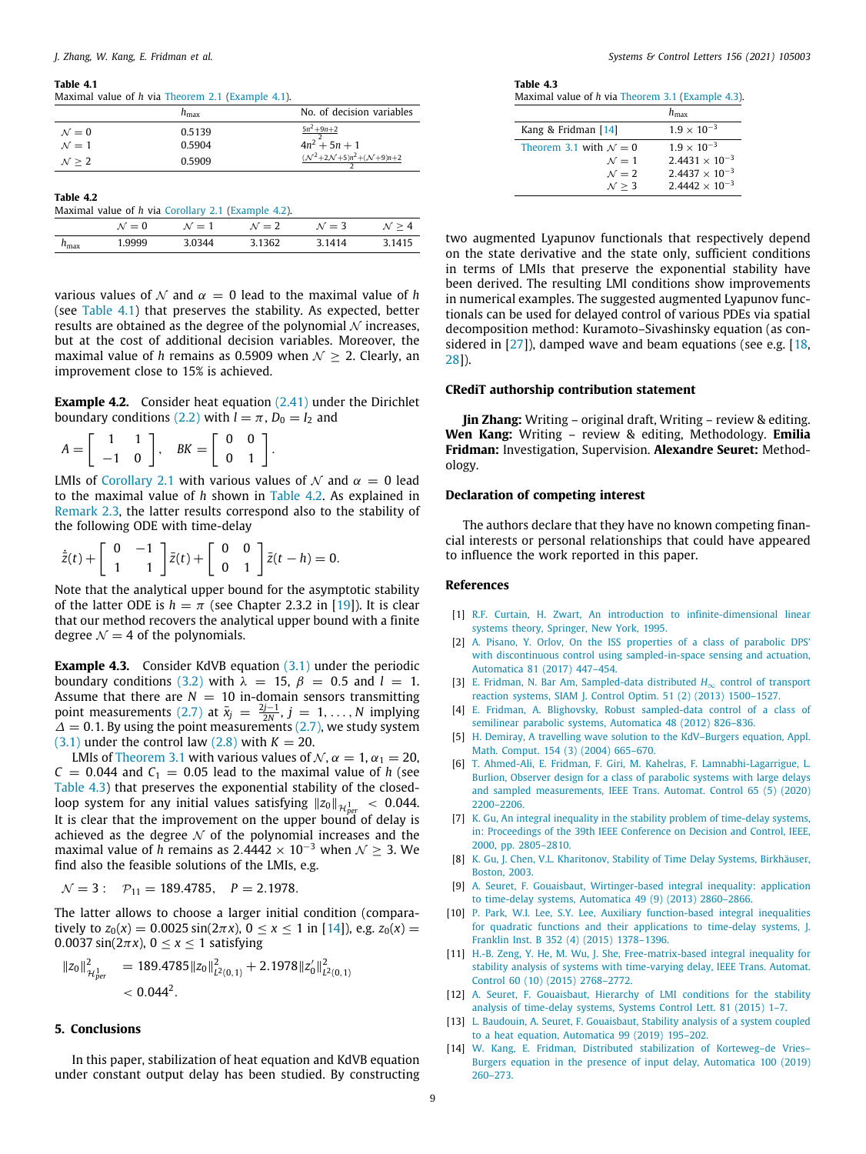#### **Table 4.1**

<span id="page-8-15"></span>Maximal value of *h* via [Theorem](#page-2-12) [2.1](#page-2-12) [\(Example](#page-7-5) [4.1](#page-7-5)). *h*<sub>max</sub> No. of decision variables

| $\mathcal{N}=0$      | 0.5139 | $5n^2 + 9n + 2$                                              |
|----------------------|--------|--------------------------------------------------------------|
| $\mathcal{N}=1$      | 0.5904 | $4n^2 + 5n + 1$                                              |
| $\mathcal{N} \geq 2$ | 0.5909 | $({\mathcal{N}}^2+2{\mathcal{N}}+5)n^2+({\mathcal{N}}+9)n+2$ |

<span id="page-8-16"></span>

| Table 4.2        | Maximal value of h via Corollary 2.1 (Example 4.2). |                 |                 |                 |                   |
|------------------|-----------------------------------------------------|-----------------|-----------------|-----------------|-------------------|
|                  | $\mathcal{N}=0$                                     | $\mathcal{N}=1$ | $\mathcal{N}=2$ | $\mathcal{N}=3$ | $\mathcal{N} > 4$ |
| $h_{\text{max}}$ | 1.9999                                              | 3.0344          | 3.1362          | 3.1414          | 3.1415            |

various values of  $\mathcal N$  and  $\alpha = 0$  lead to the maximal value of *h* (see [Table](#page-8-15) [4.1\)](#page-8-15) that preserves the stability. As expected, better results are obtained as the degree of the polynomial  $N$  increases, but at the cost of additional decision variables. Moreover, the maximal value of *h* remains as 0.5909 when  $\mathcal{N} \geq 2$ . Clearly, an improvement close to 15% is achieved.

<span id="page-8-14"></span>**Example 4.2.** Consider heat equation ([2.41\)](#page-4-3) under the Dirichlet boundary conditions ([2.2\)](#page-1-2) with  $l = \pi$ ,  $D_0 = I_2$  and

$$
A = \left[ \begin{array}{rr} 1 & 1 \\ -1 & 0 \end{array} \right], \quad BK = \left[ \begin{array}{rr} 0 & 0 \\ 0 & 1 \end{array} \right].
$$

LMIs of [Corollary](#page-4-5) [2.1](#page-4-5) with various values of  $\mathcal N$  and  $\alpha = 0$  lead to the maximal value of *h* shown in [Table](#page-8-16) [4.2.](#page-8-16) As explained in [Remark](#page-4-9) [2.3,](#page-4-9) the latter results correspond also to the stability of the following ODE with time-delay

$$
\dot{\bar{z}}(t) + \left[\begin{array}{cc} 0 & -1 \\ 1 & 1 \end{array}\right] \bar{z}(t) + \left[\begin{array}{cc} 0 & 0 \\ 0 & 1 \end{array}\right] \bar{z}(t-h) = 0.
$$

Note that the analytical upper bound for the asymptotic stability of the latter ODE is  $h = \pi$  (see Chapter 2.3.2 in [\[19](#page-9-4)]). It is clear that our method recovers the analytical upper bound with a finite degree  $\mathcal{N} = 4$  of the polynomials.

<span id="page-8-18"></span>**Example 4.3.** Consider KdVB equation ([3.1](#page-5-2)) under the periodic boundary conditions [\(3.2\)](#page-5-4) with  $\lambda = 15$ ,  $\beta = 0.5$  and  $l = 1$ . Assume that there are  $N = 10$  in-domain sensors transmitting point measurements ([2.7](#page-1-4)) at  $\bar{x}_j = \frac{2j-1}{2N}, j = 1, ..., N$  implying  $\Delta = 0.1$ . By using the point measurements [\(2.7\)](#page-1-4), we study system  $(3.1)$  $(3.1)$  $(3.1)$  under the control law  $(2.8)$  $(2.8)$  $(2.8)$  with  $K = 20$ .

LMIs of [Theorem](#page-6-0) [3.1](#page-6-0) with various values of  $\mathcal{N}, \alpha = 1, \alpha_1 = 20$ ,  $C = 0.044$  and  $C_1 = 0.05$  lead to the maximal value of *h* (see [Table](#page-8-17) [4.3\)](#page-8-17) that preserves the exponential stability of the closedloop system for any initial values satisfying  $||z_0||_{\mathcal{H}_{per}^1}$  < 0.044. It is clear that the improvement on the upper bound of delay is achieved as the degree  $\mathcal N$  of the polynomial increases and the maximal value of *h* remains as  $2.4442 \times 10^{-3}$  when  $\mathcal{N} > 3$ . We find also the feasible solutions of the LMIs, e.g.

 $N = 3$ :  $P_{11} = 189.4785$ ,  $P = 2.1978$ .

The latter allows to choose a larger initial condition (comparatively to  $z_0(x) = 0.0025 \sin(2\pi x)$ ,  $0 \le x \le 1$  in [[14](#page-8-13)]), e.g.  $z_0(x) =$ 0.0037 sin( $2\pi x$ ),  $0 \le x \le 1$  satisfying

$$
\|z_0\|_{\mathcal{H}_{per}^1}^2 = 189.4785 \|z_0\|_{L^2(0,1)}^2 + 2.1978 \|z_0'\|_{L^2(0,1)}^2 < 0.044^2.
$$

## **5. Conclusions**

In this paper, stabilization of heat equation and KdVB equation under constant output delay has been studied. By constructing

| Table 4.3                                         |  |  |
|---------------------------------------------------|--|--|
| Maximal value of h via Theorem 3.1 (Example 4.3). |  |  |

<span id="page-8-17"></span>

| Kang & Fridman [14]              | $1.9 \times 10^{-3}$    |
|----------------------------------|-------------------------|
| Theorem 3.1 with $\mathcal{N}=0$ | $1.9 \times 10^{-3}$    |
| $\mathcal{N}=1$                  | $2.4431 \times 10^{-3}$ |
| $\mathcal{N}=2$                  | $2.4437 \times 10^{-3}$ |
| $\mathcal{N} \geq 3$             | $2.4442 \times 10^{-3}$ |

two augmented Lyapunov functionals that respectively depend on the state derivative and the state only, sufficient conditions in terms of LMIs that preserve the exponential stability have been derived. The resulting LMI conditions show improvements in numerical examples. The suggested augmented Lyapunov functionals can be used for delayed control of various PDEs via spatial decomposition method: Kuramoto–Sivashinsky equation (as considered in  $[27]$  $[27]$  $[27]$ ), damped wave and beam equations (see e.g.  $[18, 18]$  $[18, 18]$ [28](#page-9-13)]).

## **CRediT authorship contribution statement**

**Jin Zhang:** Writing – original draft, Writing – review & editing. **Wen Kang:** Writing – review & editing, Methodology. **Emilia Fridman:** Investigation, Supervision. **Alexandre Seuret:** Methodology.

#### **Declaration of competing interest**

The authors declare that they have no known competing financial interests or personal relationships that could have appeared to influence the work reported in this paper.

## **References**

- <span id="page-8-0"></span>[1] [R.F. Curtain, H. Zwart, An introduction to infinite-dimensional linear](http://refhub.elsevier.com/S0167-6911(21)00133-X/sb1) [systems theory, Springer, New York, 1995.](http://refhub.elsevier.com/S0167-6911(21)00133-X/sb1)
- <span id="page-8-1"></span>[2] [A. Pisano, Y. Orlov, On the ISS properties of a class of parabolic DPS'](http://refhub.elsevier.com/S0167-6911(21)00133-X/sb2) [with discontinuous control using sampled-in-space sensing and actuation,](http://refhub.elsevier.com/S0167-6911(21)00133-X/sb2) [Automatica 81 \(2017\) 447–454.](http://refhub.elsevier.com/S0167-6911(21)00133-X/sb2)
- <span id="page-8-2"></span>[3] [E. Fridman, N. Bar Am, Sampled-data distributed](http://refhub.elsevier.com/S0167-6911(21)00133-X/sb3) *H*∞ control of transport [reaction systems, SIAM J. Control Optim. 51 \(2\) \(2013\) 1500–1527.](http://refhub.elsevier.com/S0167-6911(21)00133-X/sb3)
- <span id="page-8-3"></span>[4] [E. Fridman, A. Blighovsky, Robust sampled-data control of a class of](http://refhub.elsevier.com/S0167-6911(21)00133-X/sb4) [semilinear parabolic systems, Automatica 48 \(2012\) 826–836.](http://refhub.elsevier.com/S0167-6911(21)00133-X/sb4)
- <span id="page-8-4"></span>[5] [H. Demiray, A travelling wave solution to the KdV–Burgers equation, Appl.](http://refhub.elsevier.com/S0167-6911(21)00133-X/sb5) [Math. Comput. 154 \(3\) \(2004\) 665–670.](http://refhub.elsevier.com/S0167-6911(21)00133-X/sb5)
- <span id="page-8-5"></span>[6] [T. Ahmed-Ali, E. Fridman, F. Giri, M. Kahelras, F. Lamnabhi-Lagarrigue, L.](http://refhub.elsevier.com/S0167-6911(21)00133-X/sb6) [Burlion, Observer design for a class of parabolic systems with large delays](http://refhub.elsevier.com/S0167-6911(21)00133-X/sb6) [and sampled measurements, IEEE Trans. Automat. Control 65 \(5\) \(2020\)](http://refhub.elsevier.com/S0167-6911(21)00133-X/sb6) [2200–2206.](http://refhub.elsevier.com/S0167-6911(21)00133-X/sb6)
- <span id="page-8-6"></span>[7] [K. Gu, An integral inequality in the stability problem of time-delay systems,](http://refhub.elsevier.com/S0167-6911(21)00133-X/sb7) [in: Proceedings of the 39th IEEE Conference on Decision and Control, IEEE,](http://refhub.elsevier.com/S0167-6911(21)00133-X/sb7) [2000, pp. 2805–2810.](http://refhub.elsevier.com/S0167-6911(21)00133-X/sb7)
- <span id="page-8-7"></span>[8] [K. Gu, J. Chen, V.L. Kharitonov, Stability of Time Delay Systems, Birkhäuser,](http://refhub.elsevier.com/S0167-6911(21)00133-X/sb8) [Boston, 2003.](http://refhub.elsevier.com/S0167-6911(21)00133-X/sb8)
- <span id="page-8-8"></span>[9] [A. Seuret, F. Gouaisbaut, Wirtinger-based integral inequality: application](http://refhub.elsevier.com/S0167-6911(21)00133-X/sb9) [to time-delay systems, Automatica 49 \(9\) \(2013\) 2860–2866.](http://refhub.elsevier.com/S0167-6911(21)00133-X/sb9)
- <span id="page-8-9"></span>[10] [P. Park, W.I. Lee, S.Y. Lee, Auxiliary function-based integral inequalities](http://refhub.elsevier.com/S0167-6911(21)00133-X/sb10) [for quadratic functions and their applications to time-delay systems, J.](http://refhub.elsevier.com/S0167-6911(21)00133-X/sb10) [Franklin Inst. B 352 \(4\) \(2015\) 1378–1396.](http://refhub.elsevier.com/S0167-6911(21)00133-X/sb10)
- <span id="page-8-10"></span>[11] [H.-B. Zeng, Y. He, M. Wu, J. She, Free-matrix-based integral inequality for](http://refhub.elsevier.com/S0167-6911(21)00133-X/sb11) [stability analysis of systems with time-varying delay, IEEE Trans. Automat.](http://refhub.elsevier.com/S0167-6911(21)00133-X/sb11) [Control 60 \(10\) \(2015\) 2768–2772.](http://refhub.elsevier.com/S0167-6911(21)00133-X/sb11)
- <span id="page-8-11"></span>[12] [A. Seuret, F. Gouaisbaut, Hierarchy of LMI conditions for the stability](http://refhub.elsevier.com/S0167-6911(21)00133-X/sb12) [analysis of time-delay systems, Systems Control Lett. 81 \(2015\) 1–7.](http://refhub.elsevier.com/S0167-6911(21)00133-X/sb12)
- <span id="page-8-12"></span>[13] [L. Baudouin, A. Seuret, F. Gouaisbaut, Stability analysis of a system coupled](http://refhub.elsevier.com/S0167-6911(21)00133-X/sb13) [to a heat equation, Automatica 99 \(2019\) 195–202.](http://refhub.elsevier.com/S0167-6911(21)00133-X/sb13)
- <span id="page-8-13"></span>[14] [W. Kang, E. Fridman, Distributed stabilization of Korteweg–de Vries–](http://refhub.elsevier.com/S0167-6911(21)00133-X/sb14) [Burgers equation in the presence of input delay, Automatica 100 \(2019\)](http://refhub.elsevier.com/S0167-6911(21)00133-X/sb14) [260–273.](http://refhub.elsevier.com/S0167-6911(21)00133-X/sb14)